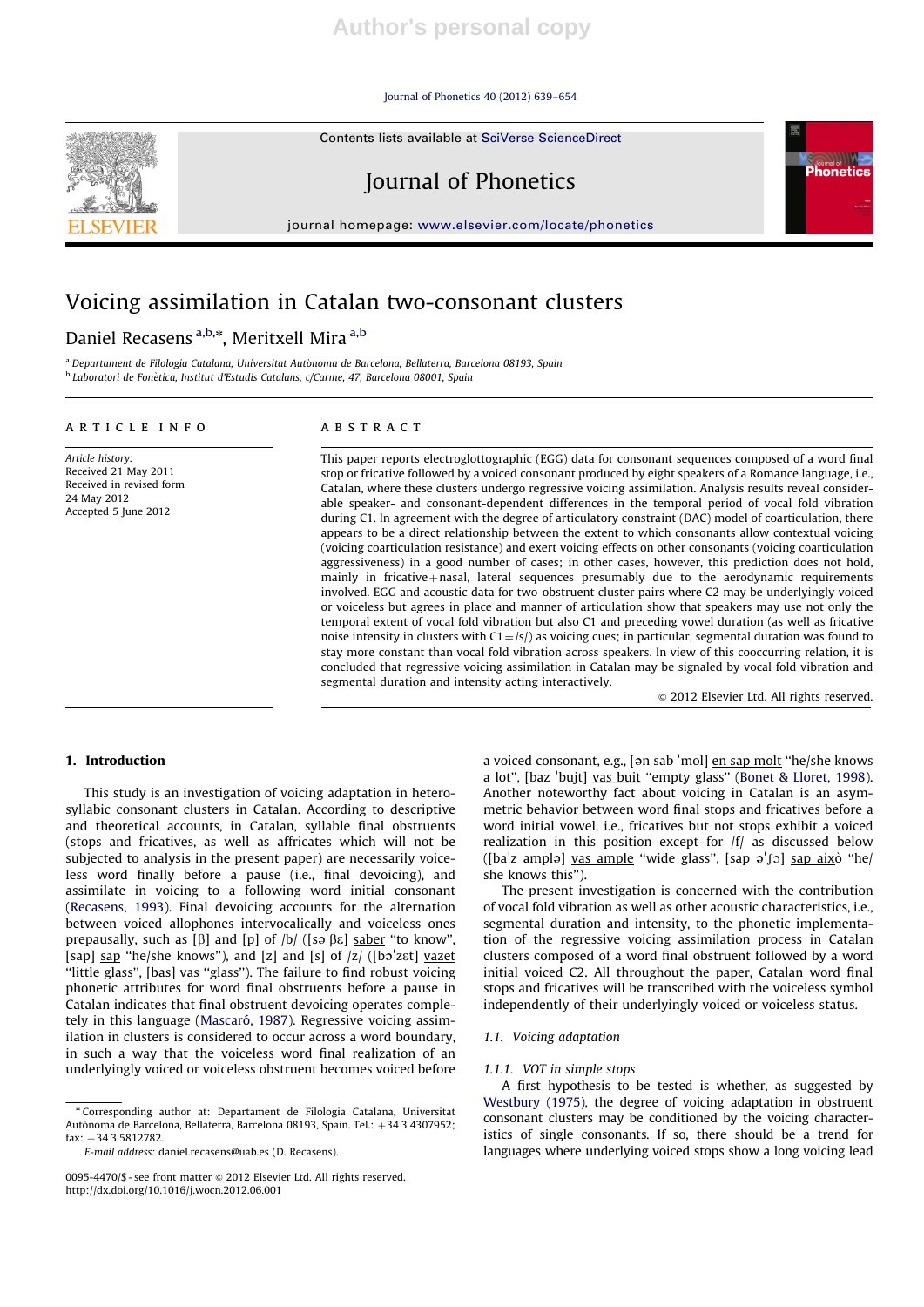Journal of Phonetics 40 (2012) 639–654

Contents lists available at SciVerse ScienceDirect



Journal of Phonetics

journal homepage: www.elsevier.com/locate/phonetics

# Voicing assimilation in Catalan two-consonant clusters

## Daniel Recasens <sup>a,b,\*</sup>, Meritxell Mira <sup>a,b</sup>

<sup>a</sup> Departament de Filologia Catalana, Universitat Autònoma de Barcelona, Bellaterra, Barcelona 08193, Spain <sup>b</sup> Laboratori de Fonètica, Institut d'Estudis Catalans, c/Carme, 47, Barcelona 08001, Spain

#### article info

Article history: Received 21 May 2011 Received in revised form 24 May 2012 Accepted 5 June 2012

## ABSTRACT

This paper reports electroglottographic (EGG) data for consonant sequences composed of a word final stop or fricative followed by a voiced consonant produced by eight speakers of a Romance language, i.e., Catalan, where these clusters undergo regressive voicing assimilation. Analysis results reveal considerable speaker- and consonant-dependent differences in the temporal period of vocal fold vibration during C1. In agreement with the degree of articulatory constraint (DAC) model of coarticulation, there appears to be a direct relationship between the extent to which consonants allow contextual voicing (voicing coarticulation resistance) and exert voicing effects on other consonants (voicing coarticulation aggressiveness) in a good number of cases; in other cases, however, this prediction does not hold, mainly in fricative $+$ nasal, lateral sequences presumably due to the aerodynamic requirements involved. EGG and acoustic data for two-obstruent cluster pairs where C2 may be underlyingly voiced or voiceless but agrees in place and manner of articulation show that speakers may use not only the temporal extent of vocal fold vibration but also C1 and preceding vowel duration (as well as fricative noise intensity in clusters with  $C1 = |s|$ ) as voicing cues; in particular, segmental duration was found to stay more constant than vocal fold vibration across speakers. In view of this cooccurring relation, it is concluded that regressive voicing assimilation in Catalan may be signaled by vocal fold vibration and segmental duration and intensity acting interactively.

 $© 2012 Elsevier Ltd. All rights reserved.$ 

#### 1. Introduction

This study is an investigation of voicing adaptation in heterosyllabic consonant clusters in Catalan. According to descriptive and theoretical accounts, in Catalan, syllable final obstruents (stops and fricatives, as well as affricates which will not be subjected to analysis in the present paper) are necessarily voiceless word finally before a pause (i.e., final devoicing), and assimilate in voicing to a following word initial consonant (Recasens, 1993). Final devoicing accounts for the alternation between voiced allophones intervocalically and voiceless ones " prepausally, such as  $[\beta]$  and  $[p]$  of  $|b|$  ([sə<sup>'</sup> $\beta \varepsilon$ ] saber "to know", [sap] sap "he/she knows"), and [z] and [s] of  $|z|$  ([bə<sup> $|z|$ </sup>] vazet] "little glass", [bas] vas "glass"). The failure to find robust voicing phonetic attributes for word final obstruents before a pause in Catalan indicates that final obstruent devoicing operates completely in this language (Mascaró, 1987). Regressive voicing assimilation in clusters is considered to occur across a word boundary, in such a way that the voiceless word final realization of an underlyingly voiced or voiceless obstruent becomes voiced before

<sup>n</sup> Corresponding author at: Departament de Filologia Catalana, Universitat Autònoma de Barcelona, Bellaterra, Barcelona 08193, Spain. Tel.: +34 3 4307952;  $fax: +3435812782$ 

a voiced consonant, e.g., [ən sab 'mol] <u>en sap molt</u> "he/she knows a voiced consonant, e.g., <sub>l</sub>ən sab "morj <u>en sap mort</u>" ne/sne knows<br>a lot'', [baz 'bujt] <u>vas buit</u> "empty glass" (Bonet & Lloret, 1998). Another noteworthy fact about voicing in Catalan is an asymmetric behavior between word final stops and fricatives before a word initial vowel, i.e., fricatives but not stops exhibit a voiced realization in this position except for  $|f|$  as discussed below reanzation in this position except for /i/ as discussed below<br>([ba'z amplə] <u>vas ample</u> "wide glass", [sap ə'ʃɔ] <u>sap aix</u>ò "he/ she knows this'').

The present investigation is concerned with the contribution of vocal fold vibration as well as other acoustic characteristics, i.e., segmental duration and intensity, to the phonetic implementation of the regressive voicing assimilation process in Catalan clusters composed of a word final obstruent followed by a word initial voiced C2. All throughout the paper, Catalan word final stops and fricatives will be transcribed with the voiceless symbol independently of their underlyingly voiced or voiceless status.

### 1.1. Voicing adaptation

#### 1.1.1. VOT in simple stops

A first hypothesis to be tested is whether, as suggested by Westbury (1975), the degree of voicing adaptation in obstruent consonant clusters may be conditioned by the voicing characteristics of single consonants. If so, there should be a trend for languages where underlying voiced stops show a long voicing lead

E-mail address: daniel.recasens@uab.es (D. Recasens).

<sup>0095-4470/\$ -</sup> see front matter & 2012 Elsevier Ltd. All rights reserved. http://dx.doi.org/10.1016/j.wocn.2012.06.001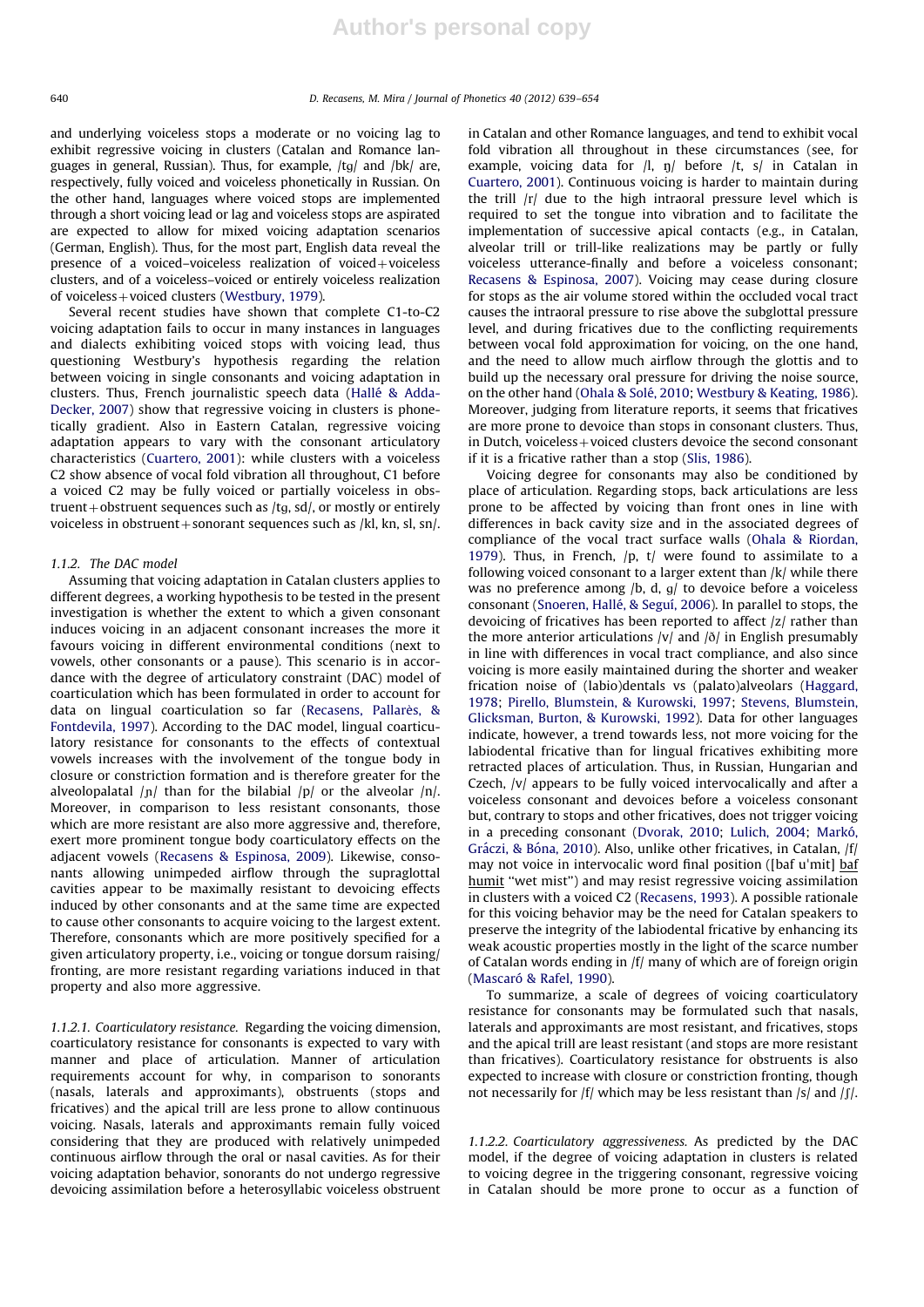and underlying voiceless stops a moderate or no voicing lag to exhibit regressive voicing in clusters (Catalan and Romance languages in general, Russian). Thus, for example, /tg/ and /bk/ are, respectively, fully voiced and voiceless phonetically in Russian. On the other hand, languages where voiced stops are implemented through a short voicing lead or lag and voiceless stops are aspirated are expected to allow for mixed voicing adaptation scenarios (German, English). Thus, for the most part, English data reveal the presence of a voiced–voiceless realization of voiced+voiceless clusters, and of a voiceless–voiced or entirely voiceless realization of voiceless + voiced clusters (Westbury, 1979).

Several recent studies have shown that complete C1-to-C2 voicing adaptation fails to occur in many instances in languages and dialects exhibiting voiced stops with voicing lead, thus questioning Westbury's hypothesis regarding the relation between voicing in single consonants and voicing adaptation in clusters. Thus, French journalistic speech data (Hallé & Adda-Decker, 2007) show that regressive voicing in clusters is phonetically gradient. Also in Eastern Catalan, regressive voicing adaptation appears to vary with the consonant articulatory characteristics (Cuartero, 2001): while clusters with a voiceless C2 show absence of vocal fold vibration all throughout, C1 before a voiced C2 may be fully voiced or partially voiceless in obstruent + obstruent sequences such as  $/tg$ , sd $/$ , or mostly or entirely voiceless in obstruent + sonorant sequences such as /kl, kn, sl, sn/.

#### 1.1.2. The DAC model

Assuming that voicing adaptation in Catalan clusters applies to different degrees, a working hypothesis to be tested in the present investigation is whether the extent to which a given consonant induces voicing in an adjacent consonant increases the more it favours voicing in different environmental conditions (next to vowels, other consonants or a pause). This scenario is in accordance with the degree of articulatory constraint (DAC) model of coarticulation which has been formulated in order to account for data on lingual coarticulation so far (Recasens, Pallarès, & Fontdevila, 1997). According to the DAC model, lingual coarticulatory resistance for consonants to the effects of contextual vowels increases with the involvement of the tongue body in closure or constriction formation and is therefore greater for the alveolopalatal  $|p|$  than for the bilabial  $|p|$  or the alveolar  $|n|$ . Moreover, in comparison to less resistant consonants, those which are more resistant are also more aggressive and, therefore, exert more prominent tongue body coarticulatory effects on the adjacent vowels (Recasens & Espinosa, 2009). Likewise, consonants allowing unimpeded airflow through the supraglottal cavities appear to be maximally resistant to devoicing effects induced by other consonants and at the same time are expected to cause other consonants to acquire voicing to the largest extent. Therefore, consonants which are more positively specified for a given articulatory property, i.e., voicing or tongue dorsum raising/ fronting, are more resistant regarding variations induced in that property and also more aggressive.

1.1.2.1. Coarticulatory resistance. Regarding the voicing dimension, coarticulatory resistance for consonants is expected to vary with manner and place of articulation. Manner of articulation requirements account for why, in comparison to sonorants (nasals, laterals and approximants), obstruents (stops and fricatives) and the apical trill are less prone to allow continuous voicing. Nasals, laterals and approximants remain fully voiced considering that they are produced with relatively unimpeded continuous airflow through the oral or nasal cavities. As for their voicing adaptation behavior, sonorants do not undergo regressive devoicing assimilation before a heterosyllabic voiceless obstruent in Catalan and other Romance languages, and tend to exhibit vocal fold vibration all throughout in these circumstances (see, for example, voicing data for  $|l, \eta|$  before  $|t, s|$  in Catalan in Cuartero, 2001). Continuous voicing is harder to maintain during the trill /r/ due to the high intraoral pressure level which is required to set the tongue into vibration and to facilitate the implementation of successive apical contacts (e.g., in Catalan, alveolar trill or trill-like realizations may be partly or fully voiceless utterance-finally and before a voiceless consonant; Recasens & Espinosa, 2007). Voicing may cease during closure for stops as the air volume stored within the occluded vocal tract causes the intraoral pressure to rise above the subglottal pressure level, and during fricatives due to the conflicting requirements between vocal fold approximation for voicing, on the one hand, and the need to allow much airflow through the glottis and to build up the necessary oral pressure for driving the noise source, on the other hand (Ohala & Solé, 2010; Westbury & Keating, 1986). Moreover, judging from literature reports, it seems that fricatives are more prone to devoice than stops in consonant clusters. Thus, in Dutch, voiceless  $+$  voiced clusters devoice the second consonant if it is a fricative rather than a stop (Slis, 1986).

Voicing degree for consonants may also be conditioned by place of articulation. Regarding stops, back articulations are less prone to be affected by voicing than front ones in line with differences in back cavity size and in the associated degrees of compliance of the vocal tract surface walls (Ohala & Riordan, 1979). Thus, in French,  $/p$ ,  $t/$  were found to assimilate to a following voiced consonant to a larger extent than /k/ while there was no preference among  $/b$ , d,  $g/$  to devoice before a voiceless consonant (Snoeren, Hallé, & Seguí, 2006). In parallel to stops, the devoicing of fricatives has been reported to affect /z/ rather than the more anterior articulations  $|v|$  and  $|\delta|$  in English presumably in line with differences in vocal tract compliance, and also since voicing is more easily maintained during the shorter and weaker frication noise of (labio)dentals vs (palato)alveolars (Haggard, 1978; Pirello, Blumstein, & Kurowski, 1997; Stevens, Blumstein, Glicksman, Burton, & Kurowski, 1992). Data for other languages indicate, however, a trend towards less, not more voicing for the labiodental fricative than for lingual fricatives exhibiting more retracted places of articulation. Thus, in Russian, Hungarian and Czech, /v/ appears to be fully voiced intervocalically and after a voiceless consonant and devoices before a voiceless consonant but, contrary to stops and other fricatives, does not trigger voicing in a preceding consonant (Dvorak, 2010; Lulich, 2004; Markó, Gráczi, & Bóna, 2010). Also, unlike other fricatives, in Catalan, /f/ Graczi, & Bona, 2010). Also, unlike other iricatives, in Catalan, *[1]*<br>may not voice in intervocalic word final position ([baf u'mit] <u>baf</u> humit "wet mist") and may resist regressive voicing assimilation in clusters with a voiced C2 (Recasens, 1993). A possible rationale for this voicing behavior may be the need for Catalan speakers to preserve the integrity of the labiodental fricative by enhancing its weak acoustic properties mostly in the light of the scarce number of Catalan words ending in /f/ many of which are of foreign origin (Mascaró & Rafel, 1990).

To summarize, a scale of degrees of voicing coarticulatory resistance for consonants may be formulated such that nasals, laterals and approximants are most resistant, and fricatives, stops and the apical trill are least resistant (and stops are more resistant than fricatives). Coarticulatory resistance for obstruents is also expected to increase with closure or constriction fronting, though not necessarily for  $|f|$  which may be less resistant than  $|s|$  and  $|f|$ .

1.1.2.2. Coarticulatory aggressiveness. As predicted by the DAC model, if the degree of voicing adaptation in clusters is related to voicing degree in the triggering consonant, regressive voicing in Catalan should be more prone to occur as a function of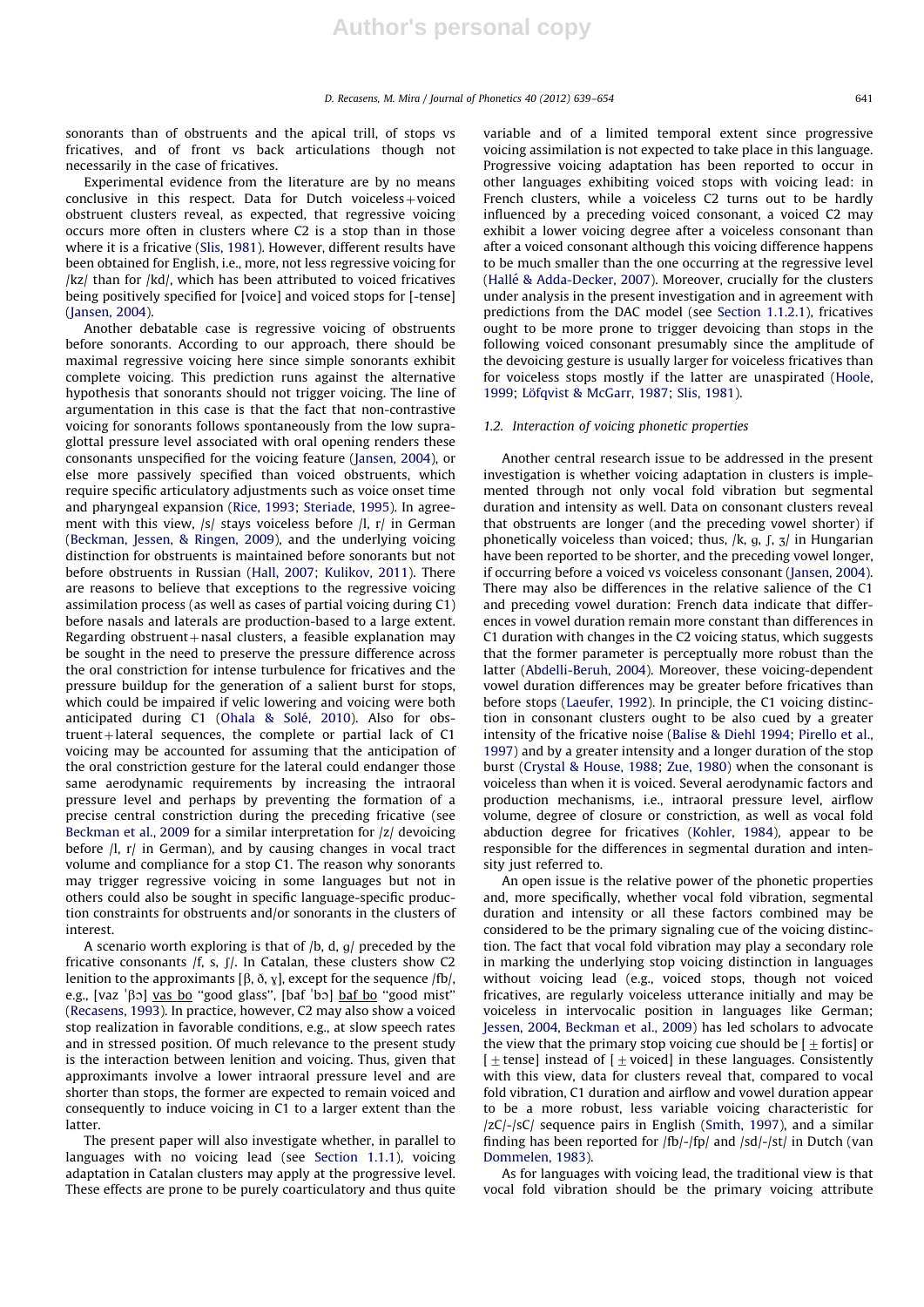sonorants than of obstruents and the apical trill, of stops vs fricatives, and of front vs back articulations though not necessarily in the case of fricatives.

Experimental evidence from the literature are by no means conclusive in this respect. Data for Dutch voiceless + voiced obstruent clusters reveal, as expected, that regressive voicing occurs more often in clusters where C2 is a stop than in those where it is a fricative (Slis, 1981). However, different results have been obtained for English, i.e., more, not less regressive voicing for /kz/ than for /kd/, which has been attributed to voiced fricatives being positively specified for [voice] and voiced stops for [-tense] (Jansen, 2004).

Another debatable case is regressive voicing of obstruents before sonorants. According to our approach, there should be maximal regressive voicing here since simple sonorants exhibit complete voicing. This prediction runs against the alternative hypothesis that sonorants should not trigger voicing. The line of argumentation in this case is that the fact that non-contrastive voicing for sonorants follows spontaneously from the low supraglottal pressure level associated with oral opening renders these consonants unspecified for the voicing feature (Jansen, 2004), or else more passively specified than voiced obstruents, which require specific articulatory adjustments such as voice onset time and pharyngeal expansion (Rice, 1993; Steriade, 1995). In agreement with this view, /s/ stays voiceless before /l, r/ in German (Beckman, Jessen, & Ringen, 2009), and the underlying voicing distinction for obstruents is maintained before sonorants but not before obstruents in Russian (Hall, 2007; Kulikov, 2011). There are reasons to believe that exceptions to the regressive voicing assimilation process (as well as cases of partial voicing during C1) before nasals and laterals are production-based to a large extent. Regarding obstruent $+$ nasal clusters, a feasible explanation may be sought in the need to preserve the pressure difference across the oral constriction for intense turbulence for fricatives and the pressure buildup for the generation of a salient burst for stops, which could be impaired if velic lowering and voicing were both anticipated during C1 (Ohala & Solé, 2010). Also for obstruent + lateral sequences, the complete or partial lack of  $C1$ voicing may be accounted for assuming that the anticipation of the oral constriction gesture for the lateral could endanger those same aerodynamic requirements by increasing the intraoral pressure level and perhaps by preventing the formation of a precise central constriction during the preceding fricative (see Beckman et al., 2009 for a similar interpretation for /z/ devoicing before /l, r/ in German), and by causing changes in vocal tract volume and compliance for a stop C1. The reason why sonorants may trigger regressive voicing in some languages but not in others could also be sought in specific language-specific production constraints for obstruents and/or sonorants in the clusters of interest.

A scenario worth exploring is that of  $/b$ , d, q/ preceded by the fricative consonants /f, s, f/. In Catalan, these clusters show C2 lenition to the approximants [ $\beta$ ,  $\delta$ ,  $\gamma$ ], except for the sequence /fb/, lenition to the approximants [p, o, y], except for the sequence /tb/,<br>e.g., [vaz 'βɔ] <u>vas bo</u> "good glass", [baf 'bɔ] <u>baf bo</u> "good mist" (Recasens, 1993). In practice, however, C2 may also show a voiced stop realization in favorable conditions, e.g., at slow speech rates and in stressed position. Of much relevance to the present study is the interaction between lenition and voicing. Thus, given that approximants involve a lower intraoral pressure level and are shorter than stops, the former are expected to remain voiced and consequently to induce voicing in C1 to a larger extent than the latter.

The present paper will also investigate whether, in parallel to languages with no voicing lead (see Section 1.1.1), voicing adaptation in Catalan clusters may apply at the progressive level. These effects are prone to be purely coarticulatory and thus quite

variable and of a limited temporal extent since progressive voicing assimilation is not expected to take place in this language. Progressive voicing adaptation has been reported to occur in other languages exhibiting voiced stops with voicing lead: in French clusters, while a voiceless C2 turns out to be hardly influenced by a preceding voiced consonant, a voiced C2 may exhibit a lower voicing degree after a voiceless consonant than after a voiced consonant although this voicing difference happens to be much smaller than the one occurring at the regressive level (Hallé & Adda-Decker, 2007). Moreover, crucially for the clusters under analysis in the present investigation and in agreement with predictions from the DAC model (see Section 1.1.2.1), fricatives ought to be more prone to trigger devoicing than stops in the following voiced consonant presumably since the amplitude of the devoicing gesture is usually larger for voiceless fricatives than for voiceless stops mostly if the latter are unaspirated (Hoole, 1999; Löfqvist & McGarr, 1987; Slis, 1981).

#### 1.2. Interaction of voicing phonetic properties

Another central research issue to be addressed in the present investigation is whether voicing adaptation in clusters is implemented through not only vocal fold vibration but segmental duration and intensity as well. Data on consonant clusters reveal that obstruents are longer (and the preceding vowel shorter) if phonetically voiceless than voiced; thus,  $/k$ , g, f,  $\frac{1}{3}$  in Hungarian have been reported to be shorter, and the preceding vowel longer, if occurring before a voiced vs voiceless consonant (Jansen, 2004). There may also be differences in the relative salience of the C1 and preceding vowel duration: French data indicate that differences in vowel duration remain more constant than differences in C1 duration with changes in the C2 voicing status, which suggests that the former parameter is perceptually more robust than the latter (Abdelli-Beruh, 2004). Moreover, these voicing-dependent vowel duration differences may be greater before fricatives than before stops (Laeufer, 1992). In principle, the C1 voicing distinction in consonant clusters ought to be also cued by a greater intensity of the fricative noise (Balise & Diehl 1994; Pirello et al., 1997) and by a greater intensity and a longer duration of the stop burst (Crystal & House, 1988; Zue, 1980) when the consonant is voiceless than when it is voiced. Several aerodynamic factors and production mechanisms, i.e., intraoral pressure level, airflow volume, degree of closure or constriction, as well as vocal fold abduction degree for fricatives (Kohler, 1984), appear to be responsible for the differences in segmental duration and intensity just referred to.

An open issue is the relative power of the phonetic properties and, more specifically, whether vocal fold vibration, segmental duration and intensity or all these factors combined may be considered to be the primary signaling cue of the voicing distinction. The fact that vocal fold vibration may play a secondary role in marking the underlying stop voicing distinction in languages without voicing lead (e.g., voiced stops, though not voiced fricatives, are regularly voiceless utterance initially and may be voiceless in intervocalic position in languages like German; Jessen, 2004, Beckman et al., 2009) has led scholars to advocate the view that the primary stop voicing cue should be  $[+$  fortis] or  $[+$  tense] instead of  $[+$  voiced] in these languages. Consistently with this view, data for clusters reveal that, compared to vocal fold vibration, C1 duration and airflow and vowel duration appear to be a more robust, less variable voicing characteristic for /zC/-/sC/ sequence pairs in English (Smith, 1997), and a similar finding has been reported for /fb/-/fp/ and /sd/-/st/ in Dutch (van Dommelen, 1983).

As for languages with voicing lead, the traditional view is that vocal fold vibration should be the primary voicing attribute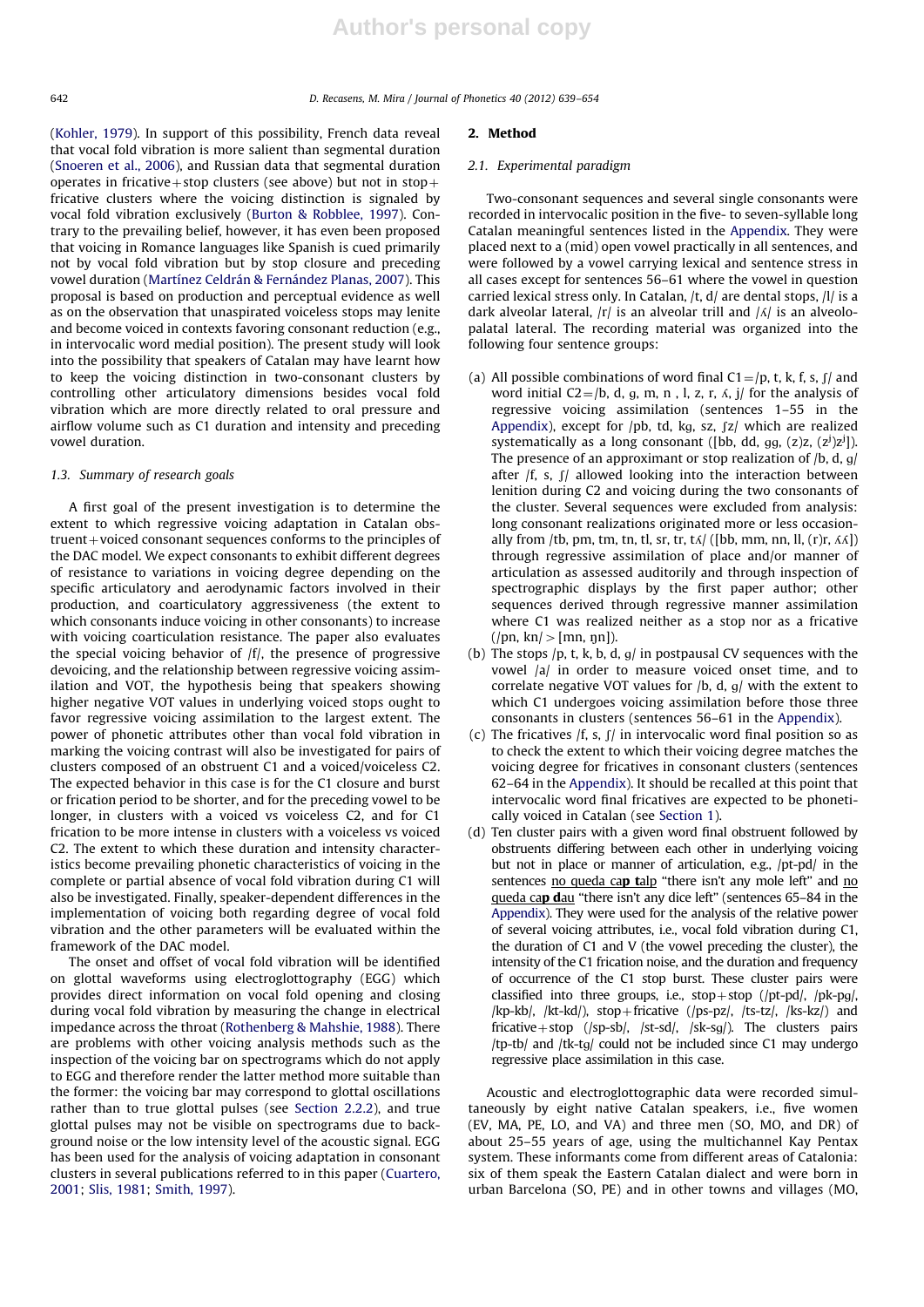642 D. Recasens, M. Mira / Journal of Phonetics 40 (2012) 639–654

(Kohler, 1979). In support of this possibility, French data reveal that vocal fold vibration is more salient than segmental duration (Snoeren et al., 2006), and Russian data that segmental duration operates in fricative + stop clusters (see above) but not in stop + fricative clusters where the voicing distinction is signaled by vocal fold vibration exclusively (Burton & Robblee, 1997). Contrary to the prevailing belief, however, it has even been proposed that voicing in Romance languages like Spanish is cued primarily not by vocal fold vibration but by stop closure and preceding vowel duration (Martínez Celdrán & Fernández Planas, 2007). This proposal is based on production and perceptual evidence as well as on the observation that unaspirated voiceless stops may lenite and become voiced in contexts favoring consonant reduction (e.g., in intervocalic word medial position). The present study will look into the possibility that speakers of Catalan may have learnt how to keep the voicing distinction in two-consonant clusters by controlling other articulatory dimensions besides vocal fold vibration which are more directly related to oral pressure and airflow volume such as C1 duration and intensity and preceding vowel duration.

#### 1.3. Summary of research goals

A first goal of the present investigation is to determine the extent to which regressive voicing adaptation in Catalan obs $t$ ruent  $+$  voiced consonant sequences conforms to the principles of the DAC model. We expect consonants to exhibit different degrees of resistance to variations in voicing degree depending on the specific articulatory and aerodynamic factors involved in their production, and coarticulatory aggressiveness (the extent to which consonants induce voicing in other consonants) to increase with voicing coarticulation resistance. The paper also evaluates the special voicing behavior of /f/, the presence of progressive devoicing, and the relationship between regressive voicing assimilation and VOT, the hypothesis being that speakers showing higher negative VOT values in underlying voiced stops ought to favor regressive voicing assimilation to the largest extent. The power of phonetic attributes other than vocal fold vibration in marking the voicing contrast will also be investigated for pairs of clusters composed of an obstruent C1 and a voiced/voiceless C2. The expected behavior in this case is for the C1 closure and burst or frication period to be shorter, and for the preceding vowel to be longer, in clusters with a voiced vs voiceless C2, and for C1 frication to be more intense in clusters with a voiceless vs voiced C2. The extent to which these duration and intensity characteristics become prevailing phonetic characteristics of voicing in the complete or partial absence of vocal fold vibration during C1 will also be investigated. Finally, speaker-dependent differences in the implementation of voicing both regarding degree of vocal fold vibration and the other parameters will be evaluated within the framework of the DAC model.

The onset and offset of vocal fold vibration will be identified on glottal waveforms using electroglottography (EGG) which provides direct information on vocal fold opening and closing during vocal fold vibration by measuring the change in electrical impedance across the throat (Rothenberg & Mahshie, 1988). There are problems with other voicing analysis methods such as the inspection of the voicing bar on spectrograms which do not apply to EGG and therefore render the latter method more suitable than the former: the voicing bar may correspond to glottal oscillations rather than to true glottal pulses (see Section 2.2.2), and true glottal pulses may not be visible on spectrograms due to background noise or the low intensity level of the acoustic signal. EGG has been used for the analysis of voicing adaptation in consonant clusters in several publications referred to in this paper (Cuartero, 2001; Slis, 1981; Smith, 1997).

#### 2. Method

#### 2.1. Experimental paradigm

Two-consonant sequences and several single consonants were recorded in intervocalic position in the five- to seven-syllable long Catalan meaningful sentences listed in the Appendix. They were placed next to a (mid) open vowel practically in all sentences, and were followed by a vowel carrying lexical and sentence stress in all cases except for sentences 56–61 where the vowel in question carried lexical stress only. In Catalan, /t, d/ are dental stops, /l/ is a dark alveolar lateral,  $|r|$  is an alveolar trill and  $|\Lambda|$  is an alveolopalatal lateral. The recording material was organized into the following four sentence groups:

- (a) All possible combinations of word final  $C1 = /p$ , t, k, f, s, f/ and word initial  $C2 = /b$ , d, g, m, n, l, z, r,  $\Lambda$ , j/ for the analysis of regressive voicing assimilation (sentences 1–55 in the Appendix), except for  $p$ b, td, kg, sz,  $z/d$  which are realized systematically as a long consonant ([bb, dd, gg,  $(z)z$ ,  $(z^j)z^j$ ]). The presence of an approximant or stop realization of  $/b$ , d, g/ after  $f(x, y, y)$  allowed looking into the interaction between lenition during C2 and voicing during the two consonants of the cluster. Several sequences were excluded from analysis: long consonant realizations originated more or less occasionally from /tb, pm, tm, tn, tl, sr, tr, t $\Delta$ / ([bb, mm, nn, ll, (r)r,  $\Delta$ A]) through regressive assimilation of place and/or manner of articulation as assessed auditorily and through inspection of spectrographic displays by the first paper author; other sequences derived through regressive manner assimilation where C1 was realized neither as a stop nor as a fricative  $(|pn, kn|>|mn, nn|).$
- (b) The stops  $/p$ , t, k, b, d, g/ in postpausal CV sequences with the vowel /a/ in order to measure voiced onset time, and to correlate negative VOT values for  $/b$ , d,  $g/$  with the extent to which C1 undergoes voicing assimilation before those three consonants in clusters (sentences 56–61 in the Appendix).
- (c) The fricatives  $f(x, y, y)$  in intervocalic word final position so as to check the extent to which their voicing degree matches the voicing degree for fricatives in consonant clusters (sentences 62–64 in the Appendix). It should be recalled at this point that intervocalic word final fricatives are expected to be phonetically voiced in Catalan (see Section 1).
- (d) Ten cluster pairs with a given word final obstruent followed by obstruents differing between each other in underlying voicing but not in place or manner of articulation, e.g., /pt-pd/ in the sentences no queda cap talp "there isn't any mole left" and no queda cap dau "there isn't any dice left" (sentences 65–84 in the Appendix). They were used for the analysis of the relative power of several voicing attributes, i.e., vocal fold vibration during C1, the duration of C1 and V (the vowel preceding the cluster), the intensity of the C1 frication noise, and the duration and frequency of occurrence of the C1 stop burst. These cluster pairs were classified into three groups, i.e.,  $stop+stop$  (/pt-pd/, /pk-pg/, /kp-kb/, /kt-kd/), stop+fricative (/ps-pz/, /ts-tz/, /ks-kz/) and fricative + stop (/sp-sb/, /st-sd/, /sk-sg/). The clusters pairs /tp-tb/ and /tk-tg/ could not be included since C1 may undergo regressive place assimilation in this case.

Acoustic and electroglottographic data were recorded simultaneously by eight native Catalan speakers, i.e., five women (EV, MA, PE, LO, and VA) and three men (SO, MO, and DR) of about 25–55 years of age, using the multichannel Kay Pentax system. These informants come from different areas of Catalonia: six of them speak the Eastern Catalan dialect and were born in urban Barcelona (SO, PE) and in other towns and villages (MO,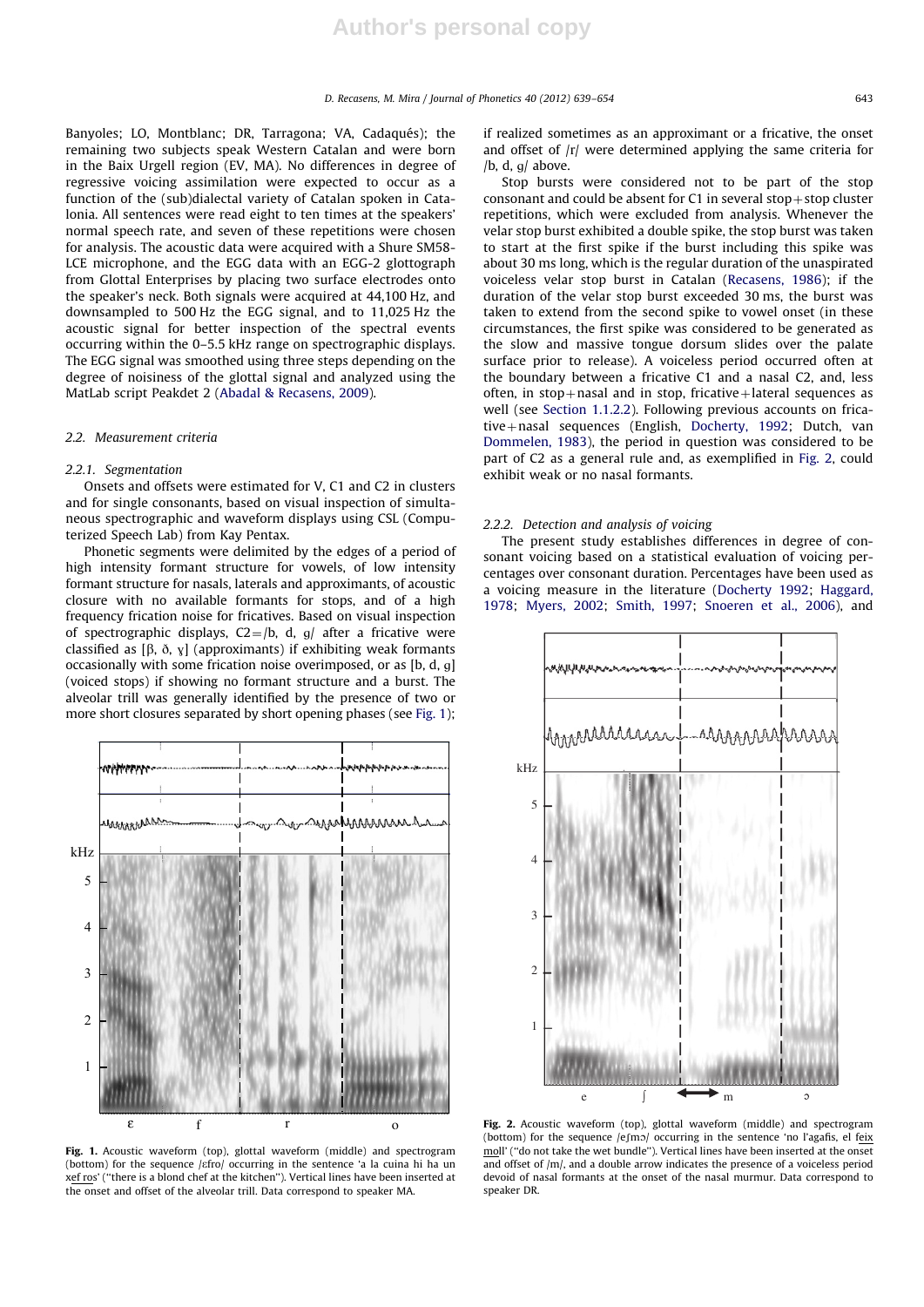Banyoles; LO, Montblanc; DR, Tarragona; VA, Cadaqués); the remaining two subjects speak Western Catalan and were born in the Baix Urgell region (EV, MA). No differences in degree of regressive voicing assimilation were expected to occur as a function of the (sub)dialectal variety of Catalan spoken in Catalonia. All sentences were read eight to ten times at the speakers' normal speech rate, and seven of these repetitions were chosen for analysis. The acoustic data were acquired with a Shure SM58- LCE microphone, and the EGG data with an EGG-2 glottograph from Glottal Enterprises by placing two surface electrodes onto the speaker's neck. Both signals were acquired at 44,100 Hz, and downsampled to 500 Hz the EGG signal, and to 11,025 Hz the acoustic signal for better inspection of the spectral events occurring within the 0–5.5 kHz range on spectrographic displays. The EGG signal was smoothed using three steps depending on the degree of noisiness of the glottal signal and analyzed using the MatLab script Peakdet 2 (Abadal & Recasens, 2009).

#### 2.2. Measurement criteria

#### 2.2.1. Segmentation

Onsets and offsets were estimated for V, C1 and C2 in clusters and for single consonants, based on visual inspection of simultaneous spectrographic and waveform displays using CSL (Computerized Speech Lab) from Kay Pentax.

Phonetic segments were delimited by the edges of a period of high intensity formant structure for vowels, of low intensity formant structure for nasals, laterals and approximants, of acoustic closure with no available formants for stops, and of a high frequency frication noise for fricatives. Based on visual inspection of spectrographic displays,  $C2 = /b$ , d, g/ after a fricative were classified as  $[\beta, \delta, y]$  (approximants) if exhibiting weak formants occasionally with some frication noise overimposed, or as  $[b, d, g]$ (voiced stops) if showing no formant structure and a burst. The alveolar trill was generally identified by the presence of two or more short closures separated by short opening phases (see Fig. 1);



Fig. 1. Acoustic waveform (top), glottal waveform (middle) and spectrogram (bottom) for the sequence /efro/ occurring in the sentence 'a la cuina hi ha un xef ros' (''there is a blond chef at the kitchen''). Vertical lines have been inserted at the onset and offset of the alveolar trill. Data correspond to speaker MA.

if realized sometimes as an approximant or a fricative, the onset and offset of  $|r|$  were determined applying the same criteria for /b, d,  $q$ / above.

Stop bursts were considered not to be part of the stop consonant and could be absent for  $C1$  in several stop + stop cluster repetitions, which were excluded from analysis. Whenever the velar stop burst exhibited a double spike, the stop burst was taken to start at the first spike if the burst including this spike was about 30 ms long, which is the regular duration of the unaspirated voiceless velar stop burst in Catalan (Recasens, 1986); if the duration of the velar stop burst exceeded 30 ms, the burst was taken to extend from the second spike to vowel onset (in these circumstances, the first spike was considered to be generated as the slow and massive tongue dorsum slides over the palate surface prior to release). A voiceless period occurred often at the boundary between a fricative C1 and a nasal C2, and, less often, in stop+nasal and in stop, fricative+lateral sequences as well (see Section 1.1.2.2). Following previous accounts on fricative+nasal sequences (English, Docherty, 1992; Dutch, van Dommelen, 1983), the period in question was considered to be part of C2 as a general rule and, as exemplified in Fig. 2, could exhibit weak or no nasal formants.

#### 2.2.2. Detection and analysis of voicing

The present study establishes differences in degree of consonant voicing based on a statistical evaluation of voicing percentages over consonant duration. Percentages have been used as a voicing measure in the literature (Docherty 1992; Haggard, 1978; Myers, 2002; Smith, 1997; Snoeren et al., 2006), and



Fig. 2. Acoustic waveform (top), glottal waveform (middle) and spectrogram (bottom) for the sequence  $/e$ fm $\sigma$ / occurring in the sentence 'no l'agafis, el feix moll' (''do not take the wet bundle''). Vertical lines have been inserted at the onset and offset of /m/, and a double arrow indicates the presence of a voiceless period devoid of nasal formants at the onset of the nasal murmur. Data correspond to speaker DR.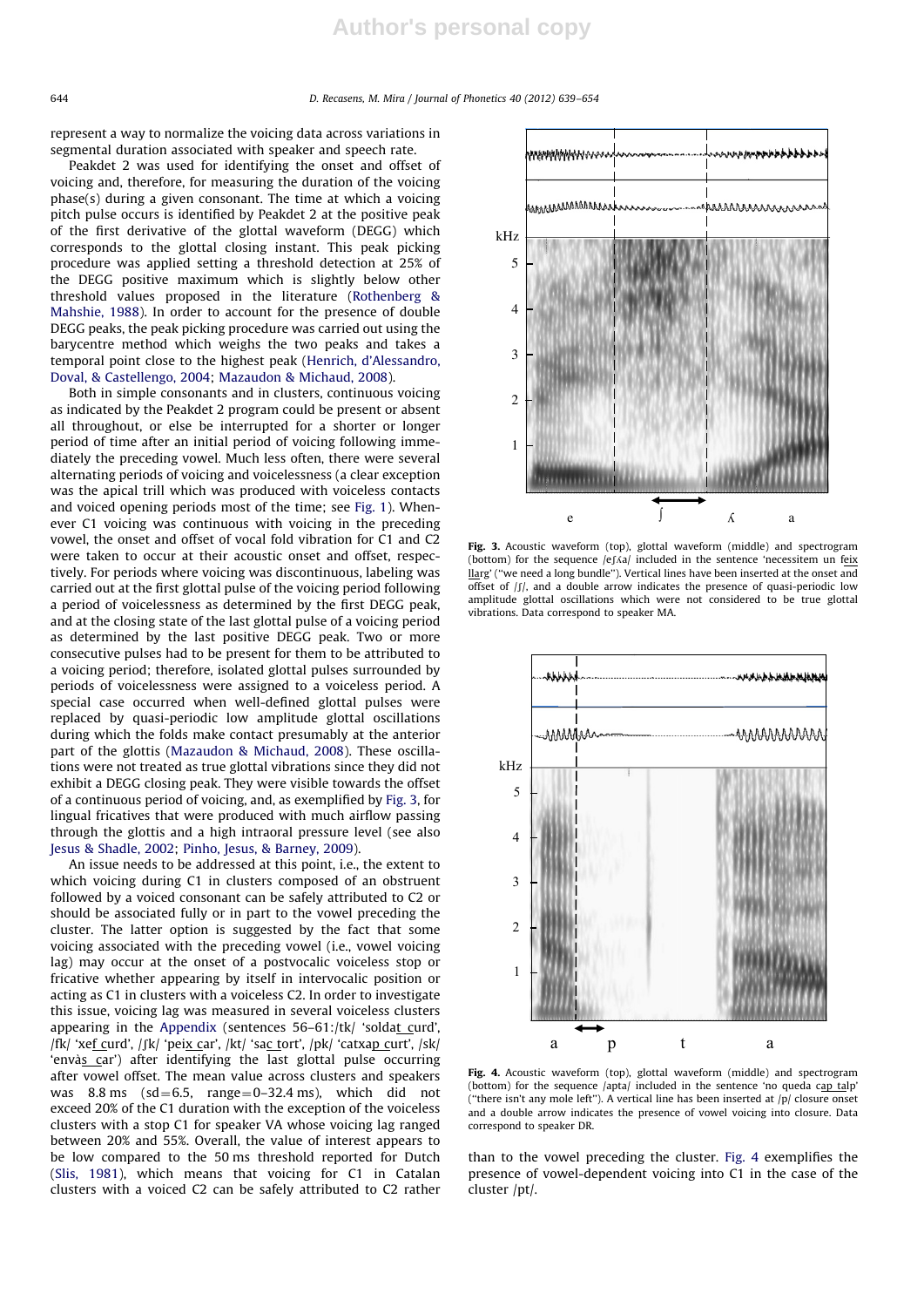represent a way to normalize the voicing data across variations in segmental duration associated with speaker and speech rate.

Peakdet 2 was used for identifying the onset and offset of voicing and, therefore, for measuring the duration of the voicing phase(s) during a given consonant. The time at which a voicing pitch pulse occurs is identified by Peakdet 2 at the positive peak of the first derivative of the glottal waveform (DEGG) which corresponds to the glottal closing instant. This peak picking procedure was applied setting a threshold detection at 25% of the DEGG positive maximum which is slightly below other threshold values proposed in the literature (Rothenberg & Mahshie, 1988). In order to account for the presence of double DEGG peaks, the peak picking procedure was carried out using the barycentre method which weighs the two peaks and takes a temporal point close to the highest peak (Henrich, d'Alessandro, Doval, & Castellengo, 2004; Mazaudon & Michaud, 2008).

Both in simple consonants and in clusters, continuous voicing as indicated by the Peakdet 2 program could be present or absent all throughout, or else be interrupted for a shorter or longer period of time after an initial period of voicing following immediately the preceding vowel. Much less often, there were several alternating periods of voicing and voicelessness (a clear exception was the apical trill which was produced with voiceless contacts and voiced opening periods most of the time; see Fig. 1). Whenever C1 voicing was continuous with voicing in the preceding vowel, the onset and offset of vocal fold vibration for C1 and C2 were taken to occur at their acoustic onset and offset, respectively. For periods where voicing was discontinuous, labeling was carried out at the first glottal pulse of the voicing period following a period of voicelessness as determined by the first DEGG peak, and at the closing state of the last glottal pulse of a voicing period as determined by the last positive DEGG peak. Two or more consecutive pulses had to be present for them to be attributed to a voicing period; therefore, isolated glottal pulses surrounded by periods of voicelessness were assigned to a voiceless period. A special case occurred when well-defined glottal pulses were replaced by quasi-periodic low amplitude glottal oscillations during which the folds make contact presumably at the anterior part of the glottis (Mazaudon & Michaud, 2008). These oscillations were not treated as true glottal vibrations since they did not exhibit a DEGG closing peak. They were visible towards the offset of a continuous period of voicing, and, as exemplified by Fig. 3, for lingual fricatives that were produced with much airflow passing through the glottis and a high intraoral pressure level (see also Jesus & Shadle, 2002; Pinho, Jesus, & Barney, 2009).

An issue needs to be addressed at this point, i.e., the extent to which voicing during C1 in clusters composed of an obstruent followed by a voiced consonant can be safely attributed to C2 or should be associated fully or in part to the vowel preceding the cluster. The latter option is suggested by the fact that some voicing associated with the preceding vowel (i.e., vowel voicing lag) may occur at the onset of a postvocalic voiceless stop or fricative whether appearing by itself in intervocalic position or acting as C1 in clusters with a voiceless C2. In order to investigate this issue, voicing lag was measured in several voiceless clusters appearing in the Appendix (sentences 56-61:/tk/ 'soldat curd', /fk/ 'xef\_curd', /fk/ 'peix\_car', /kt/ 'sac\_tort', /pk/ 'catxap\_curt', /sk/ 'envàs\_car') after identifying the last glottal pulse occurring after vowel offset. The mean value across clusters and speakers was  $8.8 \text{ ms}$  (sd=6.5, range=0-32.4 ms), which did not exceed 20% of the C1 duration with the exception of the voiceless clusters with a stop C1 for speaker VA whose voicing lag ranged between 20% and 55%. Overall, the value of interest appears to be low compared to the 50 ms threshold reported for Dutch (Slis, 1981), which means that voicing for C1 in Catalan clusters with a voiced C2 can be safely attributed to C2 rather



Fig. 3. Acoustic waveform (top), glottal waveform (middle) and spectrogram (bottom) for the sequence /ef/a/ included in the sentence 'necessitem un feix llarg' (''we need a long bundle''). Vertical lines have been inserted at the onset and offset of  $|f|$ , and a double arrow indicates the presence of quasi-periodic low amplitude glottal oscillations which were not considered to be true glottal vibrations. Data correspond to speaker MA.



Fig. 4. Acoustic waveform (top), glottal waveform (middle) and spectrogram (bottom) for the sequence /apta/ included in the sentence 'no queda cap talp' (''there isn't any mole left''). A vertical line has been inserted at /p/ closure onset and a double arrow indicates the presence of vowel voicing into closure. Data correspond to speaker DR.

than to the vowel preceding the cluster. Fig. 4 exemplifies the presence of vowel-dependent voicing into C1 in the case of the cluster /pt/.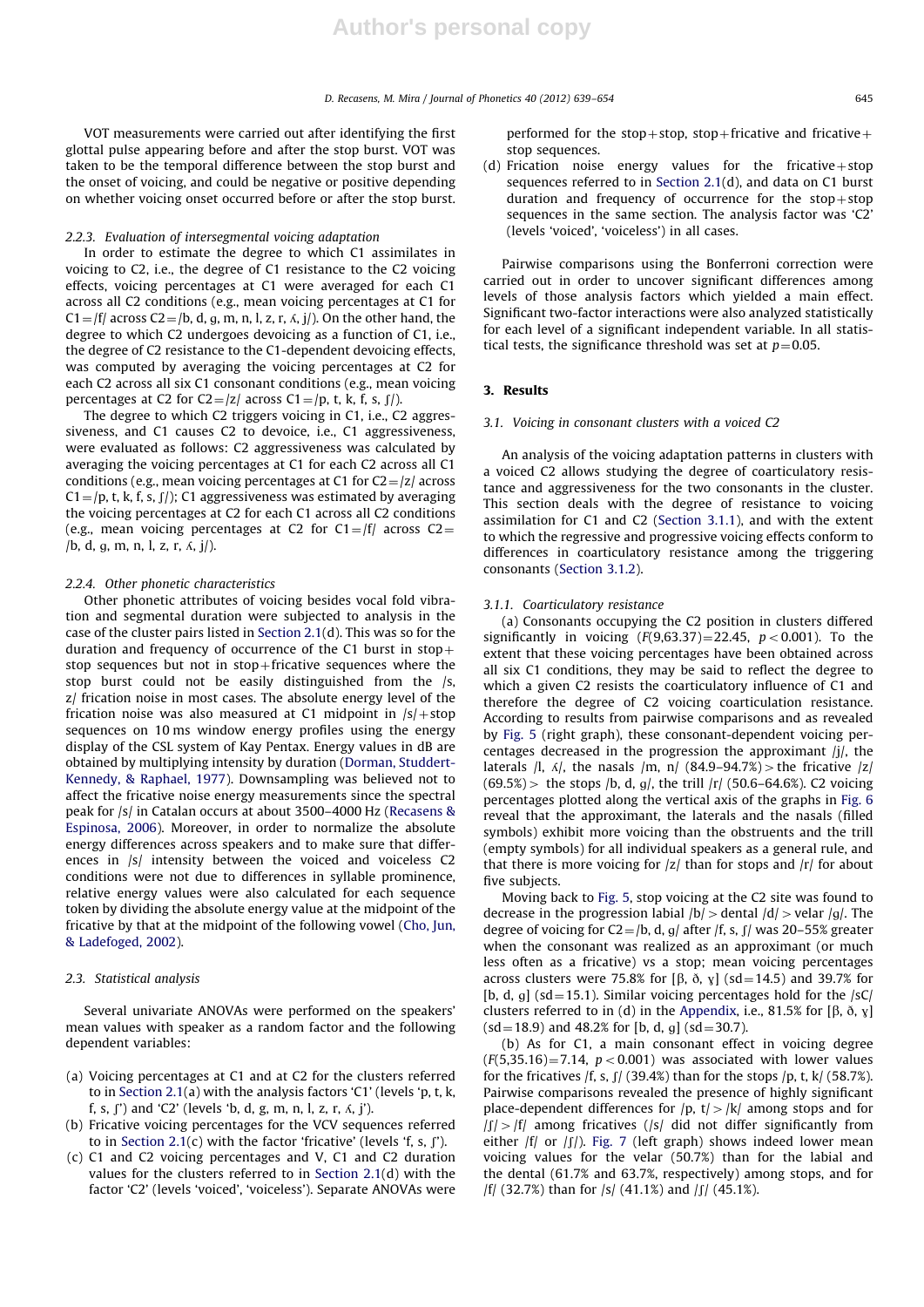VOT measurements were carried out after identifying the first glottal pulse appearing before and after the stop burst. VOT was taken to be the temporal difference between the stop burst and the onset of voicing, and could be negative or positive depending on whether voicing onset occurred before or after the stop burst.

#### 2.2.3. Evaluation of intersegmental voicing adaptation

In order to estimate the degree to which C1 assimilates in voicing to C2, i.e., the degree of C1 resistance to the C2 voicing effects, voicing percentages at C1 were averaged for each C1 across all C2 conditions (e.g., mean voicing percentages at C1 for  $C1 = |f|$  across  $C2 = |b, d, a, m, n, l, z, r, \Lambda, i|$ . On the other hand, the degree to which C2 undergoes devoicing as a function of C1, i.e., the degree of C2 resistance to the C1-dependent devoicing effects, was computed by averaging the voicing percentages at C2 for each C2 across all six C1 consonant conditions (e.g., mean voicing percentages at C2 for C2=/z/ across C1=/p, t, k, f, s,  $\int$ /).

The degree to which C2 triggers voicing in C1, i.e., C2 aggressiveness, and C1 causes C2 to devoice, i.e., C1 aggressiveness, were evaluated as follows: C2 aggressiveness was calculated by averaging the voicing percentages at C1 for each C2 across all C1 conditions (e.g., mean voicing percentages at C1 for  $C2 = |z|$  across  $C1 = \langle p, t, k, f, s, f \rangle$ ; C1 aggressiveness was estimated by averaging the voicing percentages at C2 for each C1 across all C2 conditions (e.g., mean voicing percentages at C2 for  $C1 = |f|$  across  $C2 =$ /b, d, g, m, n, l, z, r,  $\Lambda$ , j/).

#### 2.2.4. Other phonetic characteristics

Other phonetic attributes of voicing besides vocal fold vibration and segmental duration were subjected to analysis in the case of the cluster pairs listed in Section 2.1(d). This was so for the duration and frequency of occurrence of the C1 burst in  $stop+$ stop sequences but not in  $stop$ -fricative sequences where the stop burst could not be easily distinguished from the /s, z/ frication noise in most cases. The absolute energy level of the frication noise was also measured at C1 midpoint in  $\frac{|s|}{\sigma}$  stop sequences on 10 ms window energy profiles using the energy display of the CSL system of Kay Pentax. Energy values in dB are obtained by multiplying intensity by duration (Dorman, Studdert-Kennedy, & Raphael, 1977). Downsampling was believed not to affect the fricative noise energy measurements since the spectral peak for /s/ in Catalan occurs at about 3500–4000 Hz (Recasens & Espinosa, 2006). Moreover, in order to normalize the absolute energy differences across speakers and to make sure that differences in /s/ intensity between the voiced and voiceless C2 conditions were not due to differences in syllable prominence, relative energy values were also calculated for each sequence token by dividing the absolute energy value at the midpoint of the fricative by that at the midpoint of the following vowel (Cho, Jun, & Ladefoged, 2002).

#### 2.3. Statistical analysis

Several univariate ANOVAs were performed on the speakers' mean values with speaker as a random factor and the following dependent variables:

- (a) Voicing percentages at C1 and at C2 for the clusters referred to in Section 2.1(a) with the analysis factors 'C1' (levels 'p, t, k, f, s,  $\int$ ) and 'C2' (levels 'b, d, g, m, n, l, z, r,  $\Lambda$ , j').
- (b) Fricative voicing percentages for the VCV sequences referred to in Section 2.1(c) with the factor 'fricative' (levels 'f, s,  $\int$ ').
- (c) C1 and C2 voicing percentages and V, C1 and C2 duration values for the clusters referred to in Section 2.1(d) with the factor 'C2' (levels 'voiced', 'voiceless'). Separate ANOVAs were

performed for the stop+stop, stop+fricative and fricative+ stop sequences.

(d) Frication noise energy values for the fricative + stop sequences referred to in Section 2.1(d), and data on C1 burst duration and frequency of occurrence for the  $stop+stop$ sequences in the same section. The analysis factor was 'C2' (levels 'voiced', 'voiceless') in all cases.

Pairwise comparisons using the Bonferroni correction were carried out in order to uncover significant differences among levels of those analysis factors which yielded a main effect. Significant two-factor interactions were also analyzed statistically for each level of a significant independent variable. In all statistical tests, the significance threshold was set at  $p=0.05$ .

#### 3. Results

#### 3.1. Voicing in consonant clusters with a voiced C2

An analysis of the voicing adaptation patterns in clusters with a voiced C2 allows studying the degree of coarticulatory resistance and aggressiveness for the two consonants in the cluster. This section deals with the degree of resistance to voicing assimilation for C1 and C2 (Section 3.1.1), and with the extent to which the regressive and progressive voicing effects conform to differences in coarticulatory resistance among the triggering consonants (Section 3.1.2).

#### 3.1.1. Coarticulatory resistance

(a) Consonants occupying the C2 position in clusters differed significantly in voicing  $(F(9,63.37)=22.45, p<0.001)$ . To the extent that these voicing percentages have been obtained across all six C1 conditions, they may be said to reflect the degree to which a given C2 resists the coarticulatory influence of C1 and therefore the degree of C2 voicing coarticulation resistance. According to results from pairwise comparisons and as revealed by Fig. 5 (right graph), these consonant-dependent voicing percentages decreased in the progression the approximant /j/, the laterals  $\pi$ ,  $\frac{\pi}{2}$ , the nasals  $\pi$ ,  $\frac{\pi}{2}$  (84.9–94.7%)  $>$  the fricative  $|z|$  $(69.5%)$  the stops /b, d, g/, the trill /r/ (50.6–64.6%). C2 voicing percentages plotted along the vertical axis of the graphs in Fig. 6 reveal that the approximant, the laterals and the nasals (filled symbols) exhibit more voicing than the obstruents and the trill (empty symbols) for all individual speakers as a general rule, and that there is more voicing for  $|z|$  than for stops and  $|r|$  for about five subjects.

Moving back to Fig. 5, stop voicing at the C2 site was found to decrease in the progression labial  $/b$  > dental  $/d$  > velar  $/g$ . The degree of voicing for C2=/b, d, g/ after /f, s,  $\int$ / was 20–55% greater when the consonant was realized as an approximant (or much less often as a fricative) vs a stop; mean voicing percentages across clusters were 75.8% for [ $\beta$ ,  $\delta$ ,  $\gamma$ ] (sd = 14.5) and 39.7% for [b, d, g] (sd=15.1). Similar voicing percentages hold for the  $|sC|$ clusters referred to in (d) in the Appendix, i.e., 81.5% for [ $\beta$ ,  $\delta$ ,  $\gamma$ ]  $(sd=18.9)$  and 48.2% for [b, d, g]  $(sd=30.7)$ .

(b) As for C1, a main consonant effect in voicing degree  $(F(5,35.16)=7.14, p<0.001)$  was associated with lower values for the fricatives /f, s,  $\int$  (39.4%) than for the stops /p, t, k/ (58.7%). Pairwise comparisons revealed the presence of highly significant place-dependent differences for  $|p, t| > |k|$  among stops and for  $|f|>|f|$  among fricatives (/s/ did not differ significantly from either  $|f|$  or  $|f|$ ). Fig. 7 (left graph) shows indeed lower mean voicing values for the velar (50.7%) than for the labial and the dental (61.7% and 63.7%, respectively) among stops, and for  $|f|$  (32.7%) than for  $|s|$  (41.1%) and  $|f|$  (45.1%).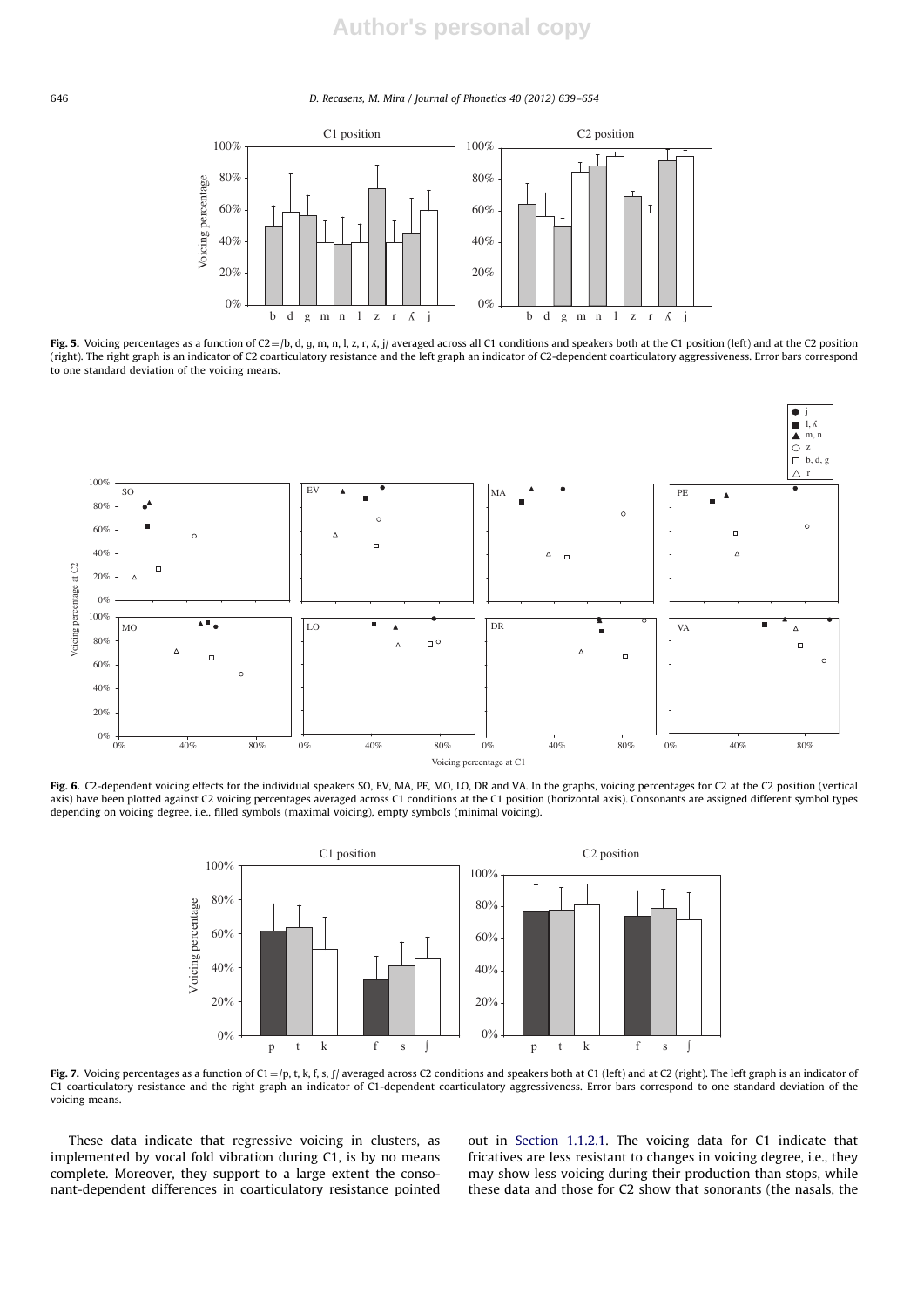#### 646 D. Recasens, M. Mira / Journal of Phonetics 40 (2012) 639–654



Fig. 5. Voicing percentages as a function of  $C2 = /b$ , d, g, m, n, l, z, r,  $\zeta$ , j/ averaged across all C1 conditions and speakers both at the C1 position (left) and at the C2 position (right). The right graph is an indicator of C2 coarticulatory resistance and the left graph an indicator of C2-dependent coarticulatory aggressiveness. Error bars correspond to one standard deviation of the voicing means.



Fig. 6. C2-dependent voicing effects for the individual speakers SO, EV, MA, PE, MO, LO, DR and VA. In the graphs, voicing percentages for C2 at the C2 position (vertical axis) have been plotted against C2 voicing percentages averaged across C1 conditions at the C1 position (horizontal axis). Consonants are assigned different symbol types depending on voicing degree, i.e., filled symbols (maximal voicing), empty symbols (minimal voicing).



Fig. 7. Voicing percentages as a function of  $C1 = /p$ , t, k, f, s,  $\int$  averaged across C2 conditions and speakers both at C1 (left) and at C2 (right). The left graph is an indicator of C1 coarticulatory resistance and the right graph an indicator of C1-dependent coarticulatory aggressiveness. Error bars correspond to one standard deviation of the voicing means.

These data indicate that regressive voicing in clusters, as implemented by vocal fold vibration during C1, is by no means complete. Moreover, they support to a large extent the consonant-dependent differences in coarticulatory resistance pointed out in Section 1.1.2.1. The voicing data for C1 indicate that fricatives are less resistant to changes in voicing degree, i.e., they may show less voicing during their production than stops, while these data and those for C2 show that sonorants (the nasals, the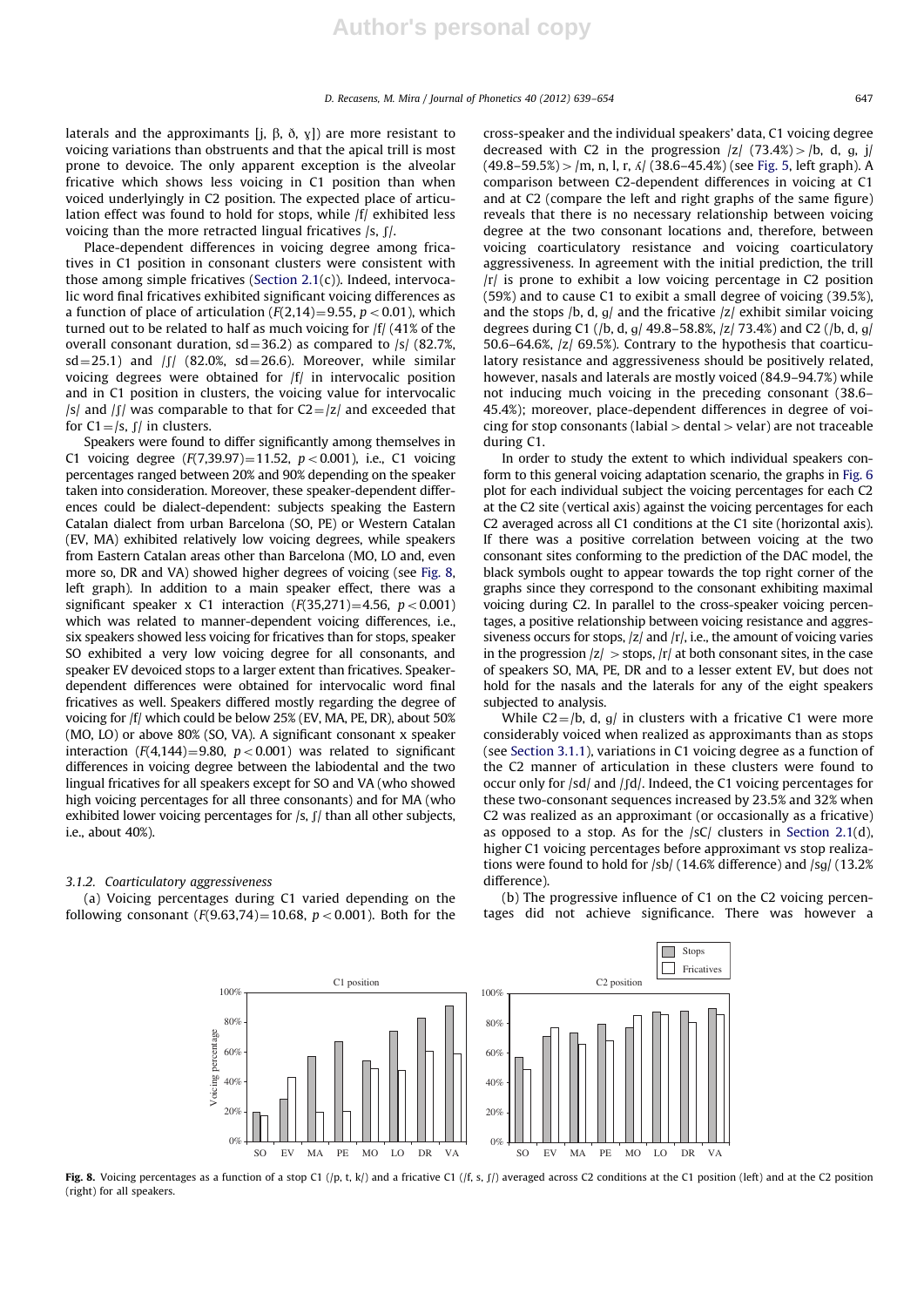laterals and the approximants [j,  $\beta$ ,  $\delta$ ,  $\gamma$ ]) are more resistant to voicing variations than obstruents and that the apical trill is most prone to devoice. The only apparent exception is the alveolar fricative which shows less voicing in C1 position than when voiced underlyingly in C2 position. The expected place of articulation effect was found to hold for stops, while /f/ exhibited less voicing than the more retracted lingual fricatives  $\frac{s}{r}$ .

Place-dependent differences in voicing degree among fricatives in C1 position in consonant clusters were consistent with those among simple fricatives (Section 2.1(c)). Indeed, intervocalic word final fricatives exhibited significant voicing differences as a function of place of articulation  $(F(2,14)=9.55, p<0.01)$ , which turned out to be related to half as much voicing for /f/ (41% of the overall consonant duration,  $sd = 36.2$ ) as compared to /s/ (82.7%,  $sd = 25.1$ ) and  $|f|$  (82.0%,  $sd = 26.6$ ). Moreover, while similar voicing degrees were obtained for /f/ in intervocalic position and in C1 position in clusters, the voicing value for intervocalic /s/ and  $\int \int f(x) \, dx$  comparable to that for C2 = /z/ and exceeded that for  $C1 = /s$ ,  $\int / \ln$  clusters.

Speakers were found to differ significantly among themselves in C1 voicing degree  $(F(7,39.97)=11.52, p<0.001)$ , i.e., C1 voicing percentages ranged between 20% and 90% depending on the speaker taken into consideration. Moreover, these speaker-dependent differences could be dialect-dependent: subjects speaking the Eastern Catalan dialect from urban Barcelona (SO, PE) or Western Catalan (EV, MA) exhibited relatively low voicing degrees, while speakers from Eastern Catalan areas other than Barcelona (MO, LO and, even more so, DR and VA) showed higher degrees of voicing (see Fig. 8, left graph). In addition to a main speaker effect, there was a significant speaker x C1 interaction  $(F(35,271)=4.56, p<0.001)$ which was related to manner-dependent voicing differences, i.e., six speakers showed less voicing for fricatives than for stops, speaker SO exhibited a very low voicing degree for all consonants, and speaker EV devoiced stops to a larger extent than fricatives. Speakerdependent differences were obtained for intervocalic word final fricatives as well. Speakers differed mostly regarding the degree of voicing for /f/ which could be below 25% (EV, MA, PE, DR), about 50% (MO, LO) or above 80% (SO, VA). A significant consonant x speaker interaction ( $F(4,144) = 9.80$ ,  $p < 0.001$ ) was related to significant differences in voicing degree between the labiodental and the two lingual fricatives for all speakers except for SO and VA (who showed high voicing percentages for all three consonants) and for MA (who exhibited lower voicing percentages for  $\frac{s}{r}$ ,  $\frac{s}{r}$  than all other subjects, i.e., about 40%).

#### 3.1.2. Coarticulatory aggressiveness

(a) Voicing percentages during C1 varied depending on the following consonant ( $F(9.63, 74) = 10.68$ ,  $p < 0.001$ ). Both for the cross-speaker and the individual speakers' data, C1 voicing degree decreased with C2 in the progression  $|z|$  (73.4%) >  $|b, d, g, j|$  $(49.8-59.5\%)$  > /m, n, l, r,  $\Delta/$  (38.6–45.4%) (see Fig. 5, left graph). A comparison between C2-dependent differences in voicing at C1 and at C2 (compare the left and right graphs of the same figure) reveals that there is no necessary relationship between voicing degree at the two consonant locations and, therefore, between voicing coarticulatory resistance and voicing coarticulatory aggressiveness. In agreement with the initial prediction, the trill /r/ is prone to exhibit a low voicing percentage in C2 position (59%) and to cause C1 to exibit a small degree of voicing (39.5%), and the stops /b, d,  $g/$  and the fricative /z/ exhibit similar voicing degrees during C1 (/b, d, g/ 49.8–58.8%, /z/ 73.4%) and C2 (/b, d, g/ 50.6–64.6%, /z/ 69.5%). Contrary to the hypothesis that coarticulatory resistance and aggressiveness should be positively related, however, nasals and laterals are mostly voiced (84.9–94.7%) while not inducing much voicing in the preceding consonant (38.6– 45.4%); moreover, place-dependent differences in degree of voicing for stop consonants (labial  $>$  dental  $>$  velar) are not traceable during C1.

In order to study the extent to which individual speakers conform to this general voicing adaptation scenario, the graphs in Fig. 6 plot for each individual subject the voicing percentages for each C2 at the C2 site (vertical axis) against the voicing percentages for each C2 averaged across all C1 conditions at the C1 site (horizontal axis). If there was a positive correlation between voicing at the two consonant sites conforming to the prediction of the DAC model, the black symbols ought to appear towards the top right corner of the graphs since they correspond to the consonant exhibiting maximal voicing during C2. In parallel to the cross-speaker voicing percentages, a positive relationship between voicing resistance and aggressiveness occurs for stops,  $|z|$  and  $|r|$ , i.e., the amount of voicing varies in the progression  $|z| >$  stops,  $|r|$  at both consonant sites, in the case of speakers SO, MA, PE, DR and to a lesser extent EV, but does not hold for the nasals and the laterals for any of the eight speakers subjected to analysis.

While  $C2 = /b$ , d, g/ in clusters with a fricative C1 were more considerably voiced when realized as approximants than as stops (see Section 3.1.1), variations in C1 voicing degree as a function of the C2 manner of articulation in these clusters were found to occur only for  $\frac{1}{d}$  and  $\frac{1}{d}$ . Indeed, the C1 voicing percentages for these two-consonant sequences increased by 23.5% and 32% when C2 was realized as an approximant (or occasionally as a fricative) as opposed to a stop. As for the  $|sC|$  clusters in Section 2.1(d), higher C1 voicing percentages before approximant vs stop realizations were found to hold for  $\frac{1}{14.6\%}$  difference) and  $\frac{1}{13.2\%}$ difference).

(b) The progressive influence of C1 on the C2 voicing percentages did not achieve significance. There was however a



Fig. 8. Voicing percentages as a function of a stop C1 (/p, t, k/) and a fricative C1 (/f, s, f/) averaged across C2 conditions at the C1 position (left) and at the C2 position (right) for all speakers.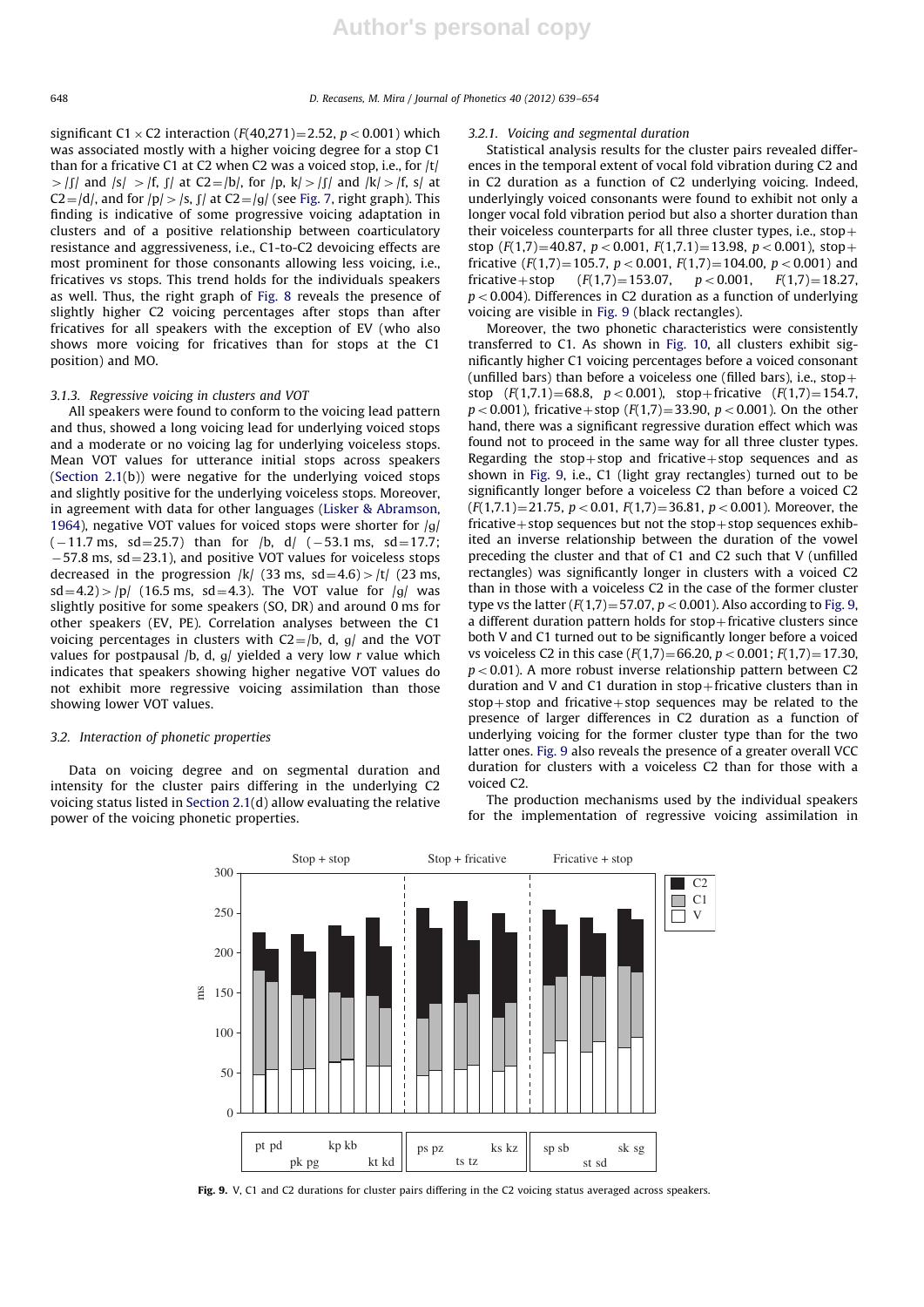significant C1  $\times$  C2 interaction (F(40,271)=2.52, p  $<$  0.001) which was associated mostly with a higher voicing degree for a stop C1 than for a fricative C1 at C2 when C2 was a voiced stop, i.e., for  $|t|$  $>$  [f] and  $|s| >$   $|f, f|$  at C2=/b], for  $|p, k| >$  [f] and  $|k| >$   $|f, s|$  at  $C2 = /d/$ , and for  $/p/$  >  $/s$ ,  $f/$  at  $C2 = /gl$  (see Fig. 7, right graph). This finding is indicative of some progressive voicing adaptation in clusters and of a positive relationship between coarticulatory resistance and aggressiveness, i.e., C1-to-C2 devoicing effects are most prominent for those consonants allowing less voicing, i.e., fricatives vs stops. This trend holds for the individuals speakers as well. Thus, the right graph of Fig. 8 reveals the presence of slightly higher C2 voicing percentages after stops than after fricatives for all speakers with the exception of EV (who also shows more voicing for fricatives than for stops at the C1 position) and MO.

#### 3.1.3. Regressive voicing in clusters and VOT

All speakers were found to conform to the voicing lead pattern and thus, showed a long voicing lead for underlying voiced stops and a moderate or no voicing lag for underlying voiceless stops. Mean VOT values for utterance initial stops across speakers (Section 2.1(b)) were negative for the underlying voiced stops and slightly positive for the underlying voiceless stops. Moreover, in agreement with data for other languages (Lisker & Abramson, 1964), negative VOT values for voiced stops were shorter for  $|g|$  $(-11.7 \text{ ms}, \text{ sd} = 25.7)$  than for /b, d/  $(-53.1 \text{ ms}, \text{ sd} = 17.7;$  $-57.8$  ms, sd $=$ 23.1), and positive VOT values for voiceless stops decreased in the progression  $|k|$  (33 ms, sd=4.6) > |t| (23 ms,  $sd = 4.2$ ) > /p/ (16.5 ms, sd = 4.3). The VOT value for /g/ was slightly positive for some speakers (SO, DR) and around 0 ms for other speakers (EV, PE). Correlation analyses between the C1 voicing percentages in clusters with  $C2 = /b$ , d, g/ and the VOT values for postpausal /b, d,  $q$ / yielded a very low r value which indicates that speakers showing higher negative VOT values do not exhibit more regressive voicing assimilation than those showing lower VOT values.

#### 3.2. Interaction of phonetic properties

Data on voicing degree and on segmental duration and intensity for the cluster pairs differing in the underlying C2 voicing status listed in Section 2.1(d) allow evaluating the relative power of the voicing phonetic properties.

#### 3.2.1. Voicing and segmental duration

Statistical analysis results for the cluster pairs revealed differences in the temporal extent of vocal fold vibration during C2 and in C2 duration as a function of C2 underlying voicing. Indeed, underlyingly voiced consonants were found to exhibit not only a longer vocal fold vibration period but also a shorter duration than their voiceless counterparts for all three cluster types, i.e.,  $stop+$ stop  $(F(1,7)=40.87, p<0.001, F(1,7.1)=13.98, p<0.001)$ , stop + fricative  $(F(1,7)=105.7, p < 0.001, F(1,7)=104.00, p < 0.001)$  and<br>fricative + stop  $(F(1,7)=153.07, p < 0.001, F(1,7)=18.27$ . fricative + stop  $(F(1,7)=153.07,$  $p < 0.004$ ). Differences in C2 duration as a function of underlying voicing are visible in Fig. 9 (black rectangles).

Moreover, the two phonetic characteristics were consistently transferred to C1. As shown in Fig. 10, all clusters exhibit significantly higher C1 voicing percentages before a voiced consonant (unfilled bars) than before a voiceless one (filled bars), i.e., stop + stop  $(F(1,7.1)=68.8, p < 0.001)$ , stop+fricative  $(F(1,7)=154.7,$  $p < 0.001$ ), fricative + stop (F(1,7) = 33.90,  $p < 0.001$ ). On the other hand, there was a significant regressive duration effect which was found not to proceed in the same way for all three cluster types. Regarding the stop+stop and fricative+stop sequences and as shown in Fig. 9, i.e., C1 (light gray rectangles) turned out to be significantly longer before a voiceless C2 than before a voiced C2  $(F(1,7.1)=21.75, p<0.01, F(1,7)=36.81, p<0.001)$ . Moreover, the fricative + stop sequences but not the stop + stop sequences exhibited an inverse relationship between the duration of the vowel preceding the cluster and that of C1 and C2 such that V (unfilled rectangles) was significantly longer in clusters with a voiced C2 than in those with a voiceless C2 in the case of the former cluster type vs the latter  $(F(1,7)=57.07, p<0.001)$ . Also according to Fig. 9, a different duration pattern holds for  $stop$ -fricative clusters since both V and C1 turned out to be significantly longer before a voiced vs voiceless C2 in this case  $(F(1,7)=66.20, p<0.001; F(1,7)=17.30,$  $p < 0.01$ ). A more robust inverse relationship pattern between C2 duration and V and C1 duration in  $stop$ -fricative clusters than in  $stop+stop$  and fricative $+stop$  sequences may be related to the presence of larger differences in C2 duration as a function of underlying voicing for the former cluster type than for the two latter ones. Fig. 9 also reveals the presence of a greater overall VCC duration for clusters with a voiceless C2 than for those with a voiced C2.

The production mechanisms used by the individual speakers for the implementation of regressive voicing assimilation in



Fig. 9. V, C1 and C2 durations for cluster pairs differing in the C2 voicing status averaged across speakers.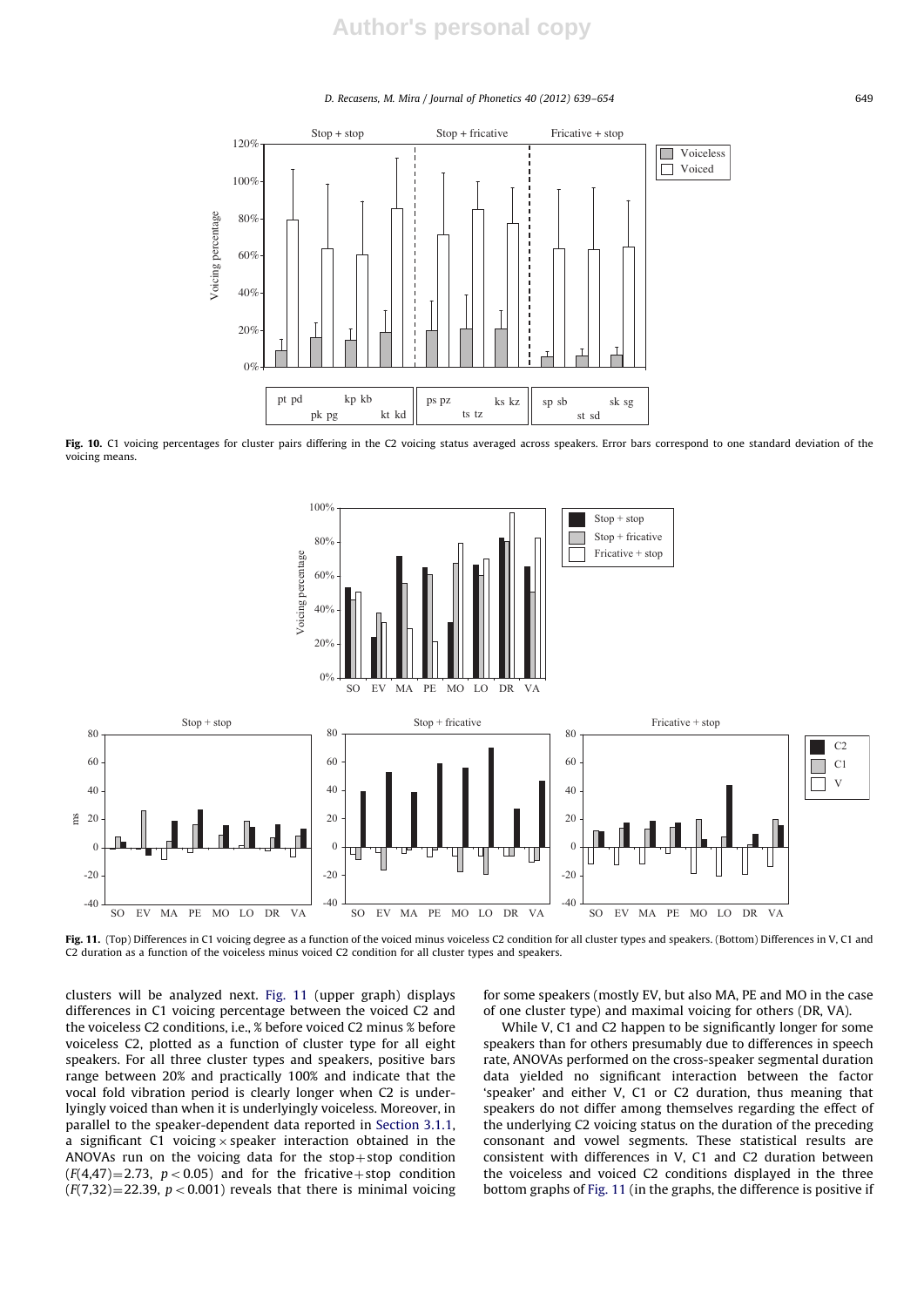## **Author's personal copy**

#### D. Recasens, M. Mira / Journal of Phonetics 40 (2012) 639–654 649



Fig. 10. C1 voicing percentages for cluster pairs differing in the C2 voicing status averaged across speakers. Error bars correspond to one standard deviation of the voicing means.



Fig. 11. (Top) Differences in C1 voicing degree as a function of the voiced minus voiceless C2 condition for all cluster types and speakers. (Bottom) Differences in V, C1 and C2 duration as a function of the voiceless minus voiced C2 condition for all cluster types and speakers.

clusters will be analyzed next. Fig. 11 (upper graph) displays differences in C1 voicing percentage between the voiced C2 and the voiceless C2 conditions, i.e., % before voiced C2 minus % before voiceless C2, plotted as a function of cluster type for all eight speakers. For all three cluster types and speakers, positive bars range between 20% and practically 100% and indicate that the vocal fold vibration period is clearly longer when C2 is underlyingly voiced than when it is underlyingly voiceless. Moreover, in parallel to the speaker-dependent data reported in Section 3.1.1, a significant C1 voicing  $\times$  speaker interaction obtained in the ANOVAs run on the voicing data for the stop+stop condition  $(F(4,47)=2.73, p<0.05)$  and for the fricative + stop condition  $(F(7,32)=22.39, p<0.001)$  reveals that there is minimal voicing for some speakers (mostly EV, but also MA, PE and MO in the case of one cluster type) and maximal voicing for others (DR, VA).

While V, C1 and C2 happen to be significantly longer for some speakers than for others presumably due to differences in speech rate, ANOVAs performed on the cross-speaker segmental duration data yielded no significant interaction between the factor 'speaker' and either V, C1 or C2 duration, thus meaning that speakers do not differ among themselves regarding the effect of the underlying C2 voicing status on the duration of the preceding consonant and vowel segments. These statistical results are consistent with differences in V, C1 and C2 duration between the voiceless and voiced C2 conditions displayed in the three bottom graphs of Fig. 11 (in the graphs, the difference is positive if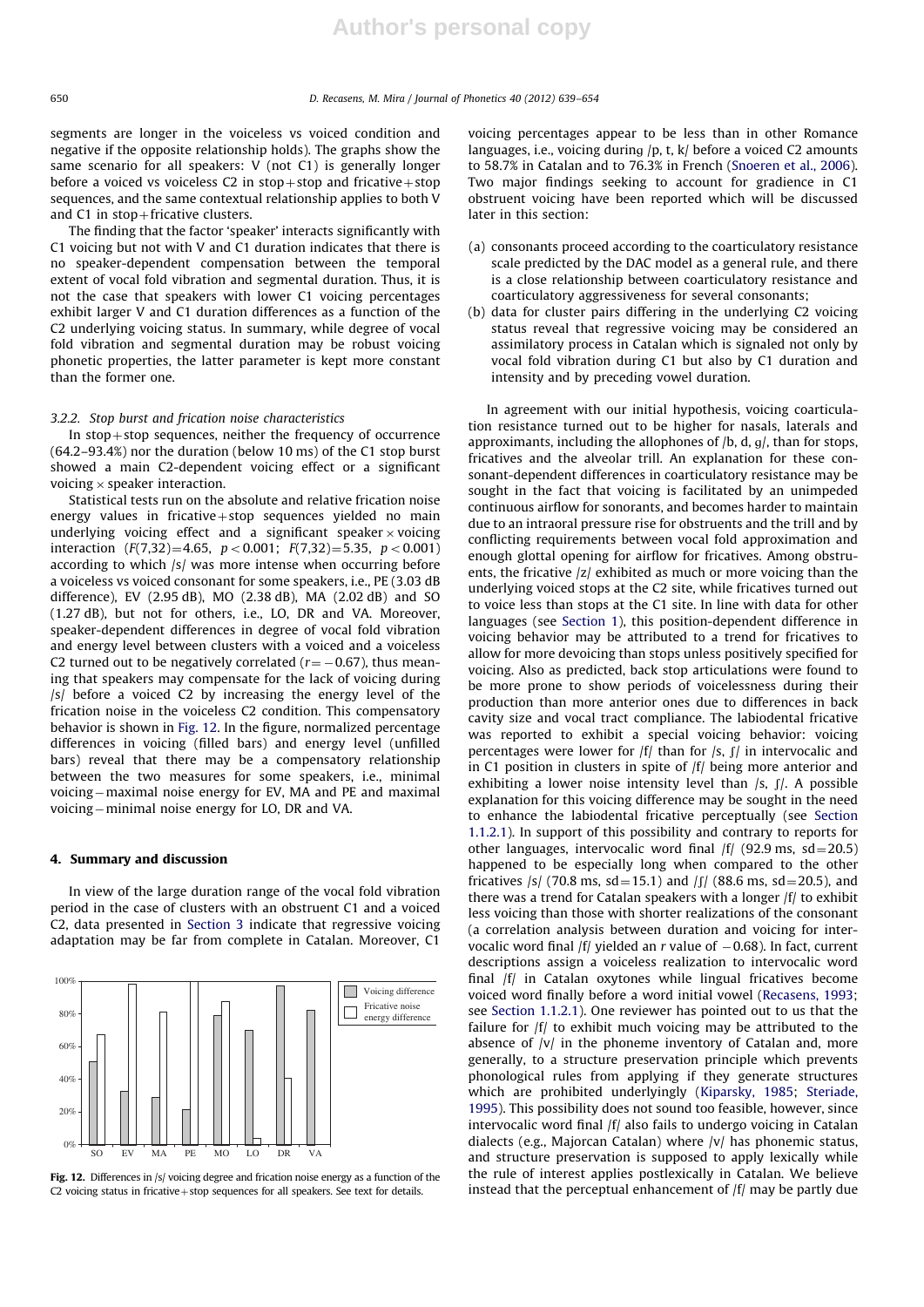segments are longer in the voiceless vs voiced condition and negative if the opposite relationship holds). The graphs show the same scenario for all speakers: V (not C1) is generally longer before a voiced vs voiceless C2 in stop+stop and fricative + stop sequences, and the same contextual relationship applies to both V and  $C1$  in stop + fricative clusters.

The finding that the factor 'speaker' interacts significantly with C1 voicing but not with V and C1 duration indicates that there is no speaker-dependent compensation between the temporal extent of vocal fold vibration and segmental duration. Thus, it is not the case that speakers with lower C1 voicing percentages exhibit larger V and C1 duration differences as a function of the C2 underlying voicing status. In summary, while degree of vocal fold vibration and segmental duration may be robust voicing phonetic properties, the latter parameter is kept more constant than the former one.

#### 3.2.2. Stop burst and frication noise characteristics

In  $stop + stop$  sequences, neither the frequency of occurrence (64.2–93.4%) nor the duration (below 10 ms) of the C1 stop burst showed a main C2-dependent voicing effect or a significant voicing  $\times$  speaker interaction.

Statistical tests run on the absolute and relative frication noise energy values in fricative $+$ stop sequences yielded no main underlying voicing effect and a significant speaker  $\times$  voicing interaction  $(F(7,32)=4.65, p<0.001; F(7,32)=5.35, p<0.001)$ according to which /s/ was more intense when occurring before a voiceless vs voiced consonant for some speakers, i.e., PE (3.03 dB difference), EV (2.95 dB), MO (2.38 dB), MA (2.02 dB) and SO (1.27 dB), but not for others, i.e., LO, DR and VA. Moreover, speaker-dependent differences in degree of vocal fold vibration and energy level between clusters with a voiced and a voiceless C2 turned out to be negatively correlated ( $r = -0.67$ ), thus meaning that speakers may compensate for the lack of voicing during /s/ before a voiced C2 by increasing the energy level of the frication noise in the voiceless C2 condition. This compensatory behavior is shown in Fig. 12. In the figure, normalized percentage differences in voicing (filled bars) and energy level (unfilled bars) reveal that there may be a compensatory relationship between the two measures for some speakers, i.e., minimal voicing–maximal noise energy for EV, MA and PE and maximal voicing-minimal noise energy for LO, DR and VA.

#### 4. Summary and discussion

In view of the large duration range of the vocal fold vibration period in the case of clusters with an obstruent C1 and a voiced C2, data presented in Section 3 indicate that regressive voicing adaptation may be far from complete in Catalan. Moreover, C1



Fig. 12. Differences in /s/ voicing degree and frication noise energy as a function of the C2 voicing status in fricative  $+$  stop sequences for all speakers. See text for details.

voicing percentages appear to be less than in other Romance languages, i.e., voicing during  $/p$ , t, k/ before a voiced C2 amounts to 58.7% in Catalan and to 76.3% in French (Snoeren et al., 2006). Two major findings seeking to account for gradience in C1 obstruent voicing have been reported which will be discussed later in this section:

- (a) consonants proceed according to the coarticulatory resistance scale predicted by the DAC model as a general rule, and there is a close relationship between coarticulatory resistance and coarticulatory aggressiveness for several consonants;
- (b) data for cluster pairs differing in the underlying C2 voicing status reveal that regressive voicing may be considered an assimilatory process in Catalan which is signaled not only by vocal fold vibration during C1 but also by C1 duration and intensity and by preceding vowel duration.

In agreement with our initial hypothesis, voicing coarticulation resistance turned out to be higher for nasals, laterals and approximants, including the allophones of  $/b$ , d,  $g/$ , than for stops, fricatives and the alveolar trill. An explanation for these consonant-dependent differences in coarticulatory resistance may be sought in the fact that voicing is facilitated by an unimpeded continuous airflow for sonorants, and becomes harder to maintain due to an intraoral pressure rise for obstruents and the trill and by conflicting requirements between vocal fold approximation and enough glottal opening for airflow for fricatives. Among obstruents, the fricative /z/ exhibited as much or more voicing than the underlying voiced stops at the C2 site, while fricatives turned out to voice less than stops at the C1 site. In line with data for other languages (see Section 1), this position-dependent difference in voicing behavior may be attributed to a trend for fricatives to allow for more devoicing than stops unless positively specified for voicing. Also as predicted, back stop articulations were found to be more prone to show periods of voicelessness during their production than more anterior ones due to differences in back cavity size and vocal tract compliance. The labiodental fricative was reported to exhibit a special voicing behavior: voicing percentages were lower for  $|f|$  than for  $|s, f|$  in intervocalic and in C1 position in clusters in spite of /f/ being more anterior and exhibiting a lower noise intensity level than  $/s$ ,  $\int$ . A possible explanation for this voicing difference may be sought in the need to enhance the labiodental fricative perceptually (see Section 1.1.2.1). In support of this possibility and contrary to reports for other languages, intervocalic word final  $|f|$  (92.9 ms, sd = 20.5) happened to be especially long when compared to the other fricatives /s/ (70.8 ms, sd = 15.1) and /f/ (88.6 ms, sd = 20.5), and there was a trend for Catalan speakers with a longer /f/ to exhibit less voicing than those with shorter realizations of the consonant (a correlation analysis between duration and voicing for intervocalic word final /f/ yielded an r value of  $-0.68$ ). In fact, current descriptions assign a voiceless realization to intervocalic word final /f/ in Catalan oxytones while lingual fricatives become voiced word finally before a word initial vowel (Recasens, 1993; see Section 1.1.2.1). One reviewer has pointed out to us that the failure for /f/ to exhibit much voicing may be attributed to the absence of  $|v|$  in the phoneme inventory of Catalan and, more generally, to a structure preservation principle which prevents phonological rules from applying if they generate structures which are prohibited underlyingly (Kiparsky, 1985; Steriade, 1995). This possibility does not sound too feasible, however, since intervocalic word final /f/ also fails to undergo voicing in Catalan dialects (e.g., Majorcan Catalan) where /v/ has phonemic status, and structure preservation is supposed to apply lexically while the rule of interest applies postlexically in Catalan. We believe instead that the perceptual enhancement of /f/ may be partly due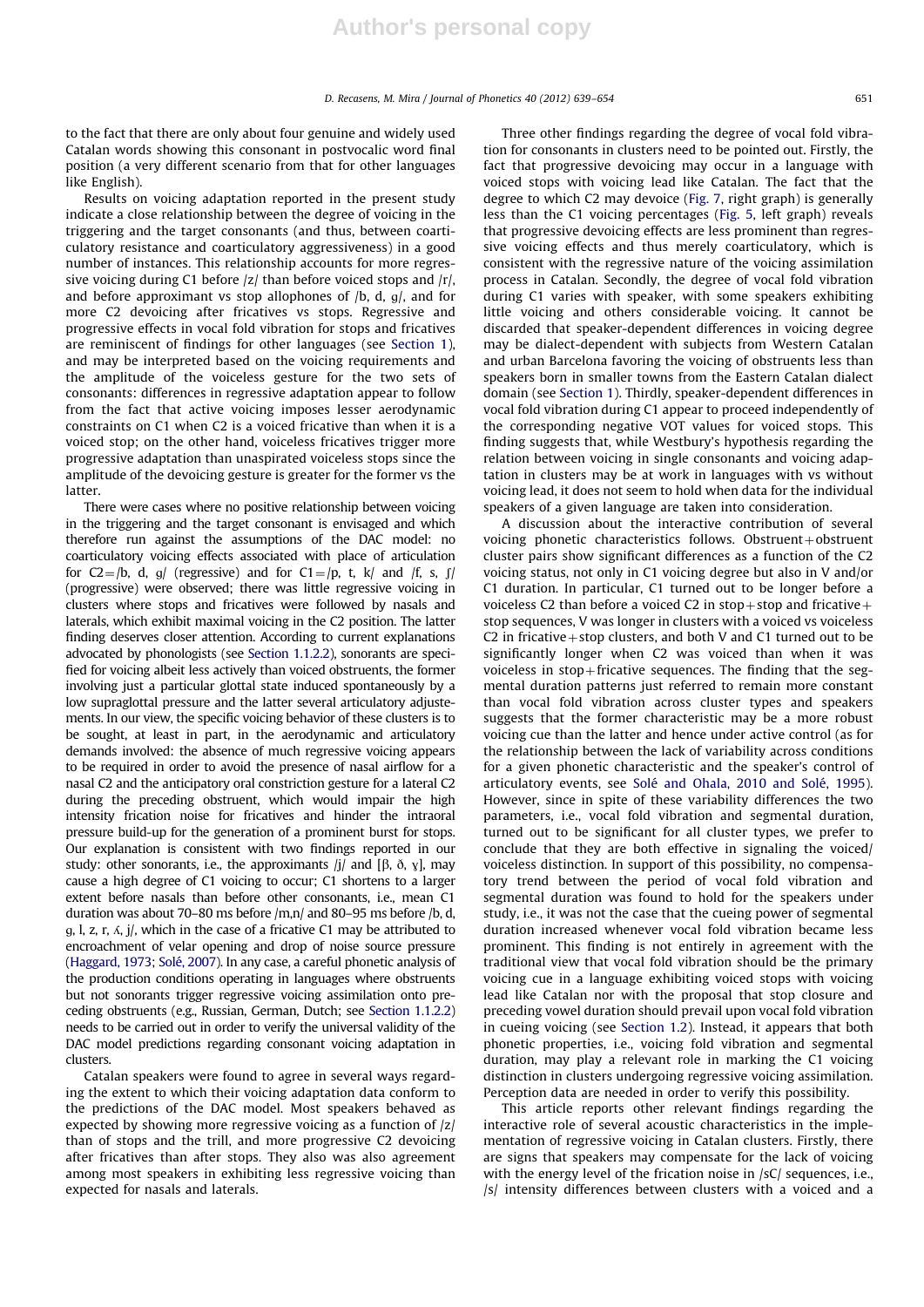to the fact that there are only about four genuine and widely used Catalan words showing this consonant in postvocalic word final position (a very different scenario from that for other languages like English).

Results on voicing adaptation reported in the present study indicate a close relationship between the degree of voicing in the triggering and the target consonants (and thus, between coarticulatory resistance and coarticulatory aggressiveness) in a good number of instances. This relationship accounts for more regressive voicing during C1 before /z/ than before voiced stops and /r/, and before approximant vs stop allophones of  $/b$ , d,  $g/$ , and for more C2 devoicing after fricatives vs stops. Regressive and progressive effects in vocal fold vibration for stops and fricatives are reminiscent of findings for other languages (see Section 1), and may be interpreted based on the voicing requirements and the amplitude of the voiceless gesture for the two sets of consonants: differences in regressive adaptation appear to follow from the fact that active voicing imposes lesser aerodynamic constraints on C1 when C2 is a voiced fricative than when it is a voiced stop; on the other hand, voiceless fricatives trigger more progressive adaptation than unaspirated voiceless stops since the amplitude of the devoicing gesture is greater for the former vs the latter.

There were cases where no positive relationship between voicing in the triggering and the target consonant is envisaged and which therefore run against the assumptions of the DAC model: no coarticulatory voicing effects associated with place of articulation for C2=/b, d, g/ (regressive) and for C1=/p, t, k/ and /f, s,  $\int$ (progressive) were observed; there was little regressive voicing in clusters where stops and fricatives were followed by nasals and laterals, which exhibit maximal voicing in the C2 position. The latter finding deserves closer attention. According to current explanations advocated by phonologists (see Section 1.1.2.2), sonorants are specified for voicing albeit less actively than voiced obstruents, the former involving just a particular glottal state induced spontaneously by a low supraglottal pressure and the latter several articulatory adjustements. In our view, the specific voicing behavior of these clusters is to be sought, at least in part, in the aerodynamic and articulatory demands involved: the absence of much regressive voicing appears to be required in order to avoid the presence of nasal airflow for a nasal C2 and the anticipatory oral constriction gesture for a lateral C2 during the preceding obstruent, which would impair the high intensity frication noise for fricatives and hinder the intraoral pressure build-up for the generation of a prominent burst for stops. Our explanation is consistent with two findings reported in our study: other sonorants, i.e., the approximants  $|j|$  and  $[\beta, \delta, \gamma]$ , may cause a high degree of C1 voicing to occur; C1 shortens to a larger extent before nasals than before other consonants, i.e., mean C1 duration was about 70–80 ms before /m,n/ and 80–95 ms before /b, d, g, l, z, r,  $\Delta$ , j/, which in the case of a fricative C1 may be attributed to encroachment of velar opening and drop of noise source pressure (Haggard, 1973; Solé, 2007). In any case, a careful phonetic analysis of the production conditions operating in languages where obstruents but not sonorants trigger regressive voicing assimilation onto preceding obstruents (e.g., Russian, German, Dutch; see Section 1.1.2.2) needs to be carried out in order to verify the universal validity of the DAC model predictions regarding consonant voicing adaptation in clusters.

Catalan speakers were found to agree in several ways regarding the extent to which their voicing adaptation data conform to the predictions of the DAC model. Most speakers behaved as expected by showing more regressive voicing as a function of /z/ than of stops and the trill, and more progressive C2 devoicing after fricatives than after stops. They also was also agreement among most speakers in exhibiting less regressive voicing than expected for nasals and laterals.

Three other findings regarding the degree of vocal fold vibration for consonants in clusters need to be pointed out. Firstly, the fact that progressive devoicing may occur in a language with voiced stops with voicing lead like Catalan. The fact that the degree to which C2 may devoice (Fig. 7, right graph) is generally less than the C1 voicing percentages (Fig. 5, left graph) reveals that progressive devoicing effects are less prominent than regressive voicing effects and thus merely coarticulatory, which is consistent with the regressive nature of the voicing assimilation process in Catalan. Secondly, the degree of vocal fold vibration during C1 varies with speaker, with some speakers exhibiting little voicing and others considerable voicing. It cannot be discarded that speaker-dependent differences in voicing degree may be dialect-dependent with subjects from Western Catalan and urban Barcelona favoring the voicing of obstruents less than speakers born in smaller towns from the Eastern Catalan dialect domain (see Section 1). Thirdly, speaker-dependent differences in vocal fold vibration during C1 appear to proceed independently of the corresponding negative VOT values for voiced stops. This finding suggests that, while Westbury's hypothesis regarding the relation between voicing in single consonants and voicing adaptation in clusters may be at work in languages with vs without voicing lead, it does not seem to hold when data for the individual speakers of a given language are taken into consideration.

A discussion about the interactive contribution of several voicing phonetic characteristics follows. Obstruent  $+$  obstruent cluster pairs show significant differences as a function of the C2 voicing status, not only in C1 voicing degree but also in V and/or C1 duration. In particular, C1 turned out to be longer before a voiceless C2 than before a voiced C2 in stop + stop and fricative + stop sequences, V was longer in clusters with a voiced vs voiceless C2 in fricative + stop clusters, and both V and C1 turned out to be significantly longer when C2 was voiced than when it was voiceless in  $stop$ -fricative sequences. The finding that the segmental duration patterns just referred to remain more constant than vocal fold vibration across cluster types and speakers suggests that the former characteristic may be a more robust voicing cue than the latter and hence under active control (as for the relationship between the lack of variability across conditions for a given phonetic characteristic and the speaker's control of articulatory events, see Solé and Ohala, 2010 and Solé, 1995). However, since in spite of these variability differences the two parameters, i.e., vocal fold vibration and segmental duration, turned out to be significant for all cluster types, we prefer to conclude that they are both effective in signaling the voiced/ voiceless distinction. In support of this possibility, no compensatory trend between the period of vocal fold vibration and segmental duration was found to hold for the speakers under study, i.e., it was not the case that the cueing power of segmental duration increased whenever vocal fold vibration became less prominent. This finding is not entirely in agreement with the traditional view that vocal fold vibration should be the primary voicing cue in a language exhibiting voiced stops with voicing lead like Catalan nor with the proposal that stop closure and preceding vowel duration should prevail upon vocal fold vibration in cueing voicing (see Section 1.2). Instead, it appears that both phonetic properties, i.e., voicing fold vibration and segmental duration, may play a relevant role in marking the C1 voicing distinction in clusters undergoing regressive voicing assimilation. Perception data are needed in order to verify this possibility.

This article reports other relevant findings regarding the interactive role of several acoustic characteristics in the implementation of regressive voicing in Catalan clusters. Firstly, there are signs that speakers may compensate for the lack of voicing with the energy level of the frication noise in /sC/ sequences, i.e., /s/ intensity differences between clusters with a voiced and a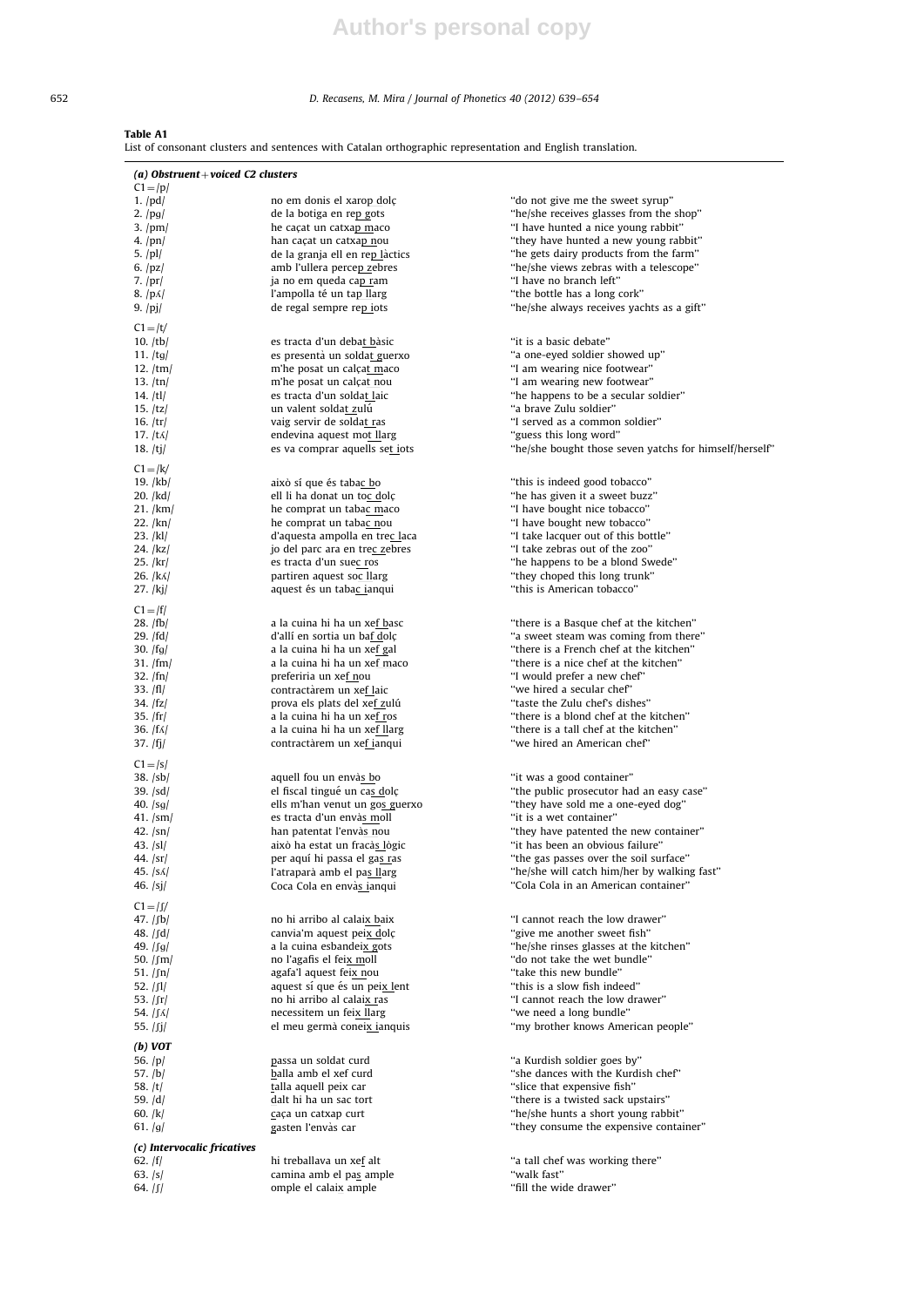# **Author's personal copy**

## 652 D. Recasens, M. Mira / Journal of Phonetics 40 (2012) 639–654

Table A1

List of consonant clusters and sentences with Catalan orthographic representation and English translation.

| (a) Obstruent + voiced C2 clusters              |                                                             |                                                                                  |
|-------------------------------------------------|-------------------------------------------------------------|----------------------------------------------------------------------------------|
| $C1 = /p/$                                      |                                                             |                                                                                  |
| $1.$ /pd/                                       | no em donis el xarop dolç                                   | "do not give me the sweet syrup"                                                 |
| 2. $\frac{\log x}{2}$                           | de la botiga en rep gots                                    | "he/she receives glasses from the shop"                                          |
| $3.$ /pm/                                       | he caçat un catxap maco                                     | "I have hunted a nice young rabbit"                                              |
| 4. /pn/                                         | han caçat un catxa <u>p n</u> ou                            | "they have hunted a new young rabbit"                                            |
| 5. /pl/                                         | de la granja ell en rep làctics                             | "he gets dairy products from the farm"                                           |
| 6. $ pz $                                       | amb l'ullera percep zebres                                  | "he/she views zebras with a telescope"                                           |
| $7.$ /pr/                                       | ja no em queda cap ram                                      | "I have no branch left"                                                          |
| $8.$ /p $\Lambda$ /                             | l'ampolla té un ta <u>p ll</u> arg                          | "the bottle has a long cork"                                                     |
| 9. $ pj $                                       | de regal sempre rep jots                                    | "he/she always receives yachts as a gift"                                        |
| $C1 = /t/$                                      |                                                             |                                                                                  |
| $10.$ /tb/                                      | es tracta d'un debat bàsic                                  | "it is a basic debate"                                                           |
| 11. $/tg/$                                      | es presentà un soldat guerxo                                | "a one-eyed soldier showed up"                                                   |
| 12. $/\text{tm}$                                | m'he posat un calçat maco                                   | "I am wearing nice footwear"                                                     |
| 13. $/tn/$                                      | m'he posat un calçat nou                                    | "I am wearing new footwear"                                                      |
| 14. /tl/                                        | es tracta d'un soldat laic                                  | "he happens to be a secular soldier"                                             |
| 15. $ tz $                                      | un valent soldat zulú                                       | "a brave Zulu soldier"                                                           |
| 16. $/tr/$                                      | vaig servir de soldat ras                                   | "I served as a common soldier"                                                   |
| 17. $ t\Lambda $                                | endevina aquest mot llarg                                   | "guess this long word"                                                           |
| 18. $/tj/$                                      | es va comprar aquells set jots                              | "he/she bought those seven yatchs for himself/herself"                           |
| $C1 = / k/$                                     |                                                             |                                                                                  |
| 19. /kb/                                        | això sí que és taba <u>c b</u> o                            | "this is indeed good tobacco"                                                    |
| 20. /kd/                                        | ell li ha donat un toc dolç                                 | "he has given it a sweet buzz"                                                   |
| 21. /km/                                        | he comprat un tabac maco                                    | "I have bought nice tobacco"                                                     |
| 22. /kn/                                        | he comprat un tabac nou                                     | "I have bought new tobacco"                                                      |
| 23. /kl/                                        | d'aquesta ampolla en trec laca                              | "I take lacquer out of this bottle"                                              |
| 24. /kz/                                        | jo del parc ara en trec zebres                              | "I take zebras out of the zoo"                                                   |
| 25. /kr/                                        | es tracta d'un suec ros                                     | "he happens to be a blond Swede"                                                 |
| 26. /kʌ/                                        | partiren aquest soc llarg                                   | "they choped this long trunk"                                                    |
| $27.$ /kj/                                      | aquest és un tabac ianqui                                   | "this is American tobacco"                                                       |
|                                                 |                                                             |                                                                                  |
| $C1 =  f $                                      |                                                             |                                                                                  |
| 28. /fb/                                        | a la cuina hi ha un xef basc                                | "there is a Basque chef at the kitchen"<br>"a sweet steam was coming from there" |
| 29. /fd/                                        | d'allí en sortia un baf dolç<br>a la cuina hi ha un xef gal | "there is a French chef at the kitchen"                                          |
| 30. $ fg $<br>31. /fm/                          | a la cuina hi ha un xef maco                                | "there is a nice chef at the kitchen"                                            |
| 32. $/fn/$                                      | preferiria un xef nou                                       | "I would prefer a new chef"                                                      |
| 33. /fl/                                        | contractàrem un xef laic                                    | "we hired a secular chef"                                                        |
| 34. /fz/                                        | prova els plats del xef zulú                                | "taste the Zulu chef's dishes"                                                   |
| 35. / fr/                                       | a la cuina hi ha un xef ros                                 | "there is a blond chef at the kitchen"                                           |
| 36. $ f\Lambda $                                | a la cuina hi ha un xef llarg                               | "there is a tall chef at the kitchen"                                            |
| 37. /fj/                                        | contractàrem un xef ianqui                                  | "we hired an American chef"                                                      |
|                                                 |                                                             |                                                                                  |
| $C1 =  S $                                      |                                                             |                                                                                  |
| 38. /sb/                                        | aquell fou un envà <u>s b</u> o                             | "it was a good container"                                                        |
| 39. /sd/                                        | el fiscal tingué un cas dolç                                | "the public prosecutor had an easy case"                                         |
| 40. $\sqrt{sq}$                                 | ells m'han venut un gos guerxo                              | "they have sold me a one-eyed dog"                                               |
| 41. /sm/                                        | es tracta d'un envàs moll                                   | "it is a wet container"                                                          |
| $42.$ $\frac{\text{sn}}{\text{}}$<br>43. $ sl $ | han patentat l'envàs nou<br>això ha estat un fracàs lògic   | "they have patented the new container"                                           |
|                                                 |                                                             | "it has been an obvious failure"<br>"the gas passes over the soil surface"       |
| 44. /sr/<br>45. $ S_A $                         | per aquí hi passa el gas ras<br>l'atraparà amb el pas llarg | "he/she will catch him/her by walking fast"                                      |
| 46. /sj/                                        | Coca Cola en envàs ianqui                                   | "Cola Cola in an American container"                                             |
|                                                 |                                                             |                                                                                  |
| $C1 =  f $                                      |                                                             |                                                                                  |
| 47. <i> </i> ʃb/                                | no hi arribo al calaix baix                                 | "I cannot reach the low drawer"                                                  |
| 48. /ʃd/                                        | canvia'm aquest peix dolç                                   | "give me another sweet fish"                                                     |
| 49. /ʃg/                                        | a la cuina esbandeix gots                                   | "he/she rinses glasses at the kitchen"                                           |
| 50. $/\text{fm}/$                               | no l'agafis el feix moll                                    | "do not take the wet bundle"                                                     |
| 51. /ʃn/                                        | agafa'l aquest feix nou                                     | "take this new bundle"                                                           |
| 52. /ʃl/                                        | aquest sí que és un peix lent                               | "this is a slow fish indeed"                                                     |
| 53. $ $ fr $ $                                  | no hi arribo al calaix ras                                  | "I cannot reach the low drawer"                                                  |
| 54.   ſʌ                                        | necessitem un feix llarg                                    | "we need a long bundle"                                                          |
| 55. /ʃj/                                        | el meu germà coneix ianquis                                 | "my brother knows American people"                                               |
| $(b)$ VOT                                       |                                                             |                                                                                  |
| 56. $ p $                                       | passa un soldat curd                                        | "a Kurdish soldier goes by"                                                      |
| 57. /b/                                         | balla amb el xef curd                                       | "she dances with the Kurdish chef"                                               |
| 58. /t/                                         | talla aquell peix car                                       | "slice that expensive fish"                                                      |
| 59. /d/                                         | dalt hi ha un sac tort                                      | "there is a twisted sack upstairs"                                               |
| 60. /k/                                         | caça un catxap curt                                         | "he/she hunts a short young rabbit"                                              |
| 61. $ g $                                       | gasten l'envàs car                                          | "they consume the expensive container"                                           |
| (c) Intervocalic fricatives                     |                                                             |                                                                                  |
| 62. $ f $                                       | hi treballava un xef alt                                    | "a tall chef was working there"                                                  |
| 63. /s/                                         | camina amb el pas ample                                     | "walk fast"                                                                      |
| 64. /ʃ/                                         | omple el calaix ample                                       | "fill the wide drawer"                                                           |
|                                                 |                                                             |                                                                                  |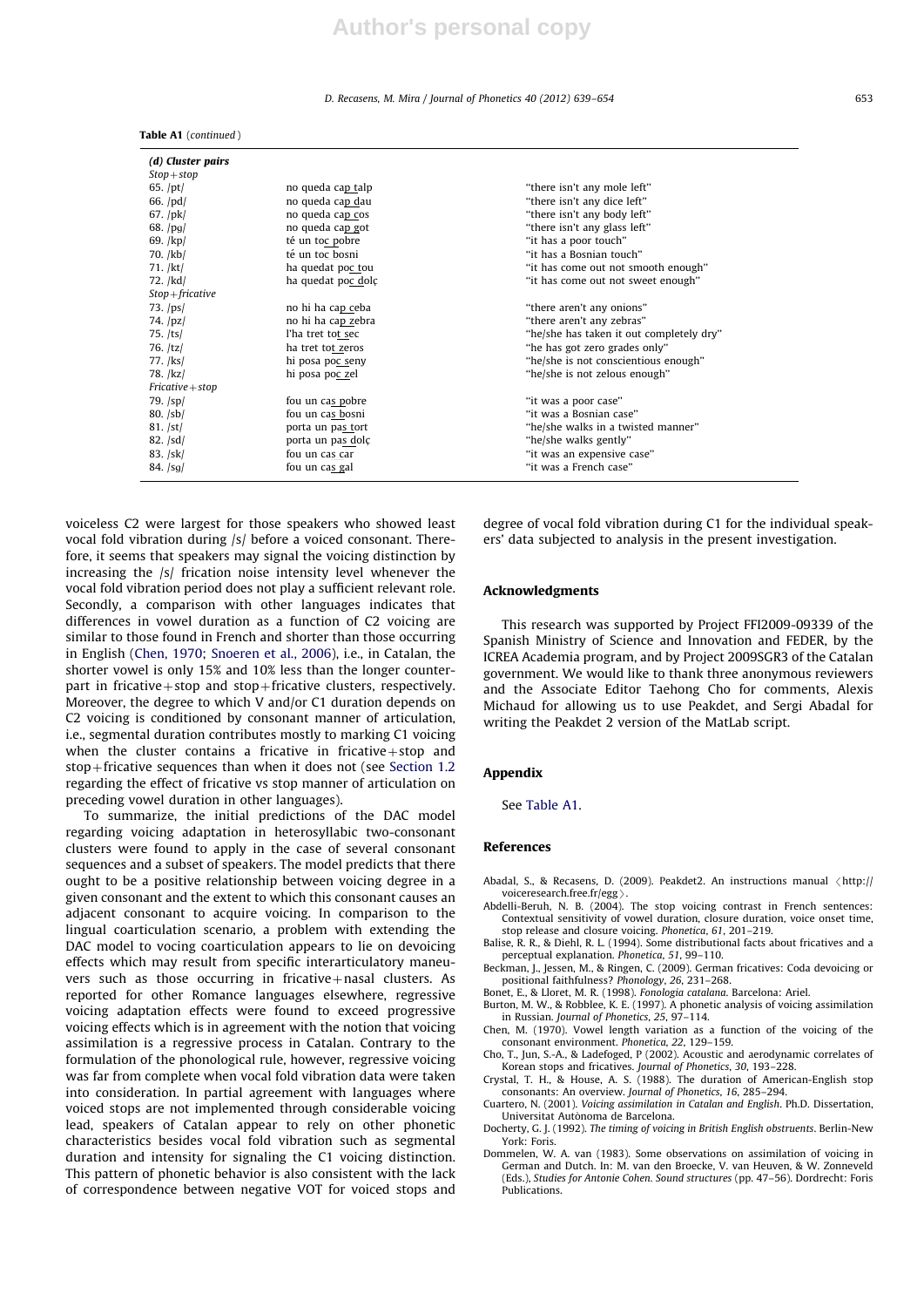#### D. Recasens, M. Mira / Journal of Phonetics 40 (2012) 639–654 653

| (d) Cluster pairs<br>$Stop + stop$ |                    |                                          |
|------------------------------------|--------------------|------------------------------------------|
| 65. $/pt/$                         | no queda cap talp  | "there isn't any mole left"              |
| 66. $\text{pd}/\text{d}$           | no queda cap dau   | "there isn't any dice left"              |
| $67.$ /pk/                         | no queda cap cos   | "there isn't any body left"              |
| 68. $\frac{pg}{g}$                 | no queda cap got   | "there isn't any glass left"             |
| 69. $/kp/$                         | té un toc pobre    | "it has a poor touch"                    |
| $70.$ /kb/                         | té un toc bosni    | "it has a Bosnian touch"                 |
| $71.$ /kt/                         | ha quedat poc tou  | "it has come out not smooth enough"      |
| 72. /kd/                           | ha quedat poc dolc | "it has come out not sweet enough"       |
| $Stop + fricative$                 |                    |                                          |
| $73.$ /ps/                         | no hi ha cap ceba  | "there aren't any onions"                |
| 74. $ pz $                         | no hi ha cap zebra | "there aren't any zebras"                |
| $75.$ /ts/                         | l'ha tret tot sec  | "he/she has taken it out completely dry" |
| 76. /tz/                           | ha tret tot zeros  | "he has got zero grades only"            |
| 77. /ks/                           | hi posa poc seny   | "he/she is not conscientious enough"     |
| 78. /kz/                           | hi posa poc zel    | "he/she is not zelous enough"            |
| $Fricative + stop$                 |                    |                                          |
| $79.$ $\frac{1}{2}$                | fou un cas pobre   | "it was a poor case"                     |
| $80.$ $ sb $                       | fou un cas bosni   | "it was a Bosnian case"                  |
| 81. /st/                           | porta un pas tort  | "he/she walks in a twisted manner"       |
| 82. /sd/                           | porta un pas dolç  | "he/she walks gently"                    |
| 83. /sk/                           | fou un cas car     | "it was an expensive case"               |
| $84.$ $ sg $                       | fou un cas gal     | "it was a French case"                   |
|                                    |                    |                                          |

voiceless C2 were largest for those speakers who showed least vocal fold vibration during /s/ before a voiced consonant. Therefore, it seems that speakers may signal the voicing distinction by increasing the /s/ frication noise intensity level whenever the vocal fold vibration period does not play a sufficient relevant role. Secondly, a comparison with other languages indicates that differences in vowel duration as a function of C2 voicing are similar to those found in French and shorter than those occurring in English (Chen, 1970; Snoeren et al., 2006), i.e., in Catalan, the shorter vowel is only 15% and 10% less than the longer counterpart in fricative  $+$  stop and stop  $+$  fricative clusters, respectively. Moreover, the degree to which V and/or C1 duration depends on C2 voicing is conditioned by consonant manner of articulation, i.e., segmental duration contributes mostly to marking C1 voicing when the cluster contains a fricative in fricative + stop and stop + fricative sequences than when it does not (see Section 1.2) regarding the effect of fricative vs stop manner of articulation on preceding vowel duration in other languages).

Table A1 (continued )

To summarize, the initial predictions of the DAC model regarding voicing adaptation in heterosyllabic two-consonant clusters were found to apply in the case of several consonant sequences and a subset of speakers. The model predicts that there ought to be a positive relationship between voicing degree in a given consonant and the extent to which this consonant causes an adjacent consonant to acquire voicing. In comparison to the lingual coarticulation scenario, a problem with extending the DAC model to vocing coarticulation appears to lie on devoicing effects which may result from specific interarticulatory maneuvers such as those occurring in fricative+nasal clusters. As reported for other Romance languages elsewhere, regressive voicing adaptation effects were found to exceed progressive voicing effects which is in agreement with the notion that voicing assimilation is a regressive process in Catalan. Contrary to the formulation of the phonological rule, however, regressive voicing was far from complete when vocal fold vibration data were taken into consideration. In partial agreement with languages where voiced stops are not implemented through considerable voicing lead, speakers of Catalan appear to rely on other phonetic characteristics besides vocal fold vibration such as segmental duration and intensity for signaling the C1 voicing distinction. This pattern of phonetic behavior is also consistent with the lack of correspondence between negative VOT for voiced stops and degree of vocal fold vibration during C1 for the individual speakers' data subjected to analysis in the present investigation.

#### Acknowledgments

This research was supported by Project FFI2009-09339 of the Spanish Ministry of Science and Innovation and FEDER, by the ICREA Academia program, and by Project 2009SGR3 of the Catalan government. We would like to thank three anonymous reviewers and the Associate Editor Taehong Cho for comments, Alexis Michaud for allowing us to use Peakdet, and Sergi Abadal for writing the Peakdet 2 version of the MatLab script.

#### Appendix

See Table A1.

#### References

- Abadal, S., & Recasens, D. (2009). Peakdet2. An instructions manual  $\langle$ http:// voiceresearch.free.fr/egg $\rangle$ . voiceresearch.free.fr/egg >.<br>Abdelli-Beruh, N. B. (2004). The stop voicing contrast in French sentences:
- Contextual sensitivity of vowel duration, closure duration, voice onset time, stop release and closure voicing. Phonetica, 61, 201–219.
- Balise, R. R., & Diehl, R. L. (1994). Some distributional facts about fricatives and a perceptual explanation. Phonetica, 51, 99–110.
- Beckman, J., Jessen, M., & Ringen, C. (2009). German fricatives: Coda devoicing or positional faithfulness? Phonology, 26, 231–268.
- Bonet, E., & Lloret, M. R. (1998). Fonologia catalana. Barcelona: Ariel.
- Burton, M. W., & Robblee, K. E. (1997). A phonetic analysis of voicing assimilation in Russian. Journal of Phonetics, 25, 97–114.
- Chen, M. (1970). Vowel length variation as a function of the voicing of the consonant environment. Phonetica, 22, 129–159.
- Cho, T., Jun, S.-A., & Ladefoged, P (2002). Acoustic and aerodynamic correlates of Korean stops and fricatives. Journal of Phonetics, 30, 193–228.
- Crystal, T. H., & House, A. S. (1988). The duration of American-English stop consonants: An overview. Journal of Phonetics, 16, 285–294.
- Cuartero, N. (2001). Voicing assimilation in Catalan and English. Ph.D. Dissertation, Universitat Autònoma de Barcelona.
- Docherty, G. J. (1992). The timing of voicing in British English obstruents. Berlin-New York: Foris.
- Dommelen, W. A. van (1983). Some observations on assimilation of voicing in German and Dutch. In: M. van den Broecke, V. van Heuven, & W. Zonneveld (Eds.), Studies for Antonie Cohen. Sound structures (pp. 47–56). Dordrecht: Foris **Publications**